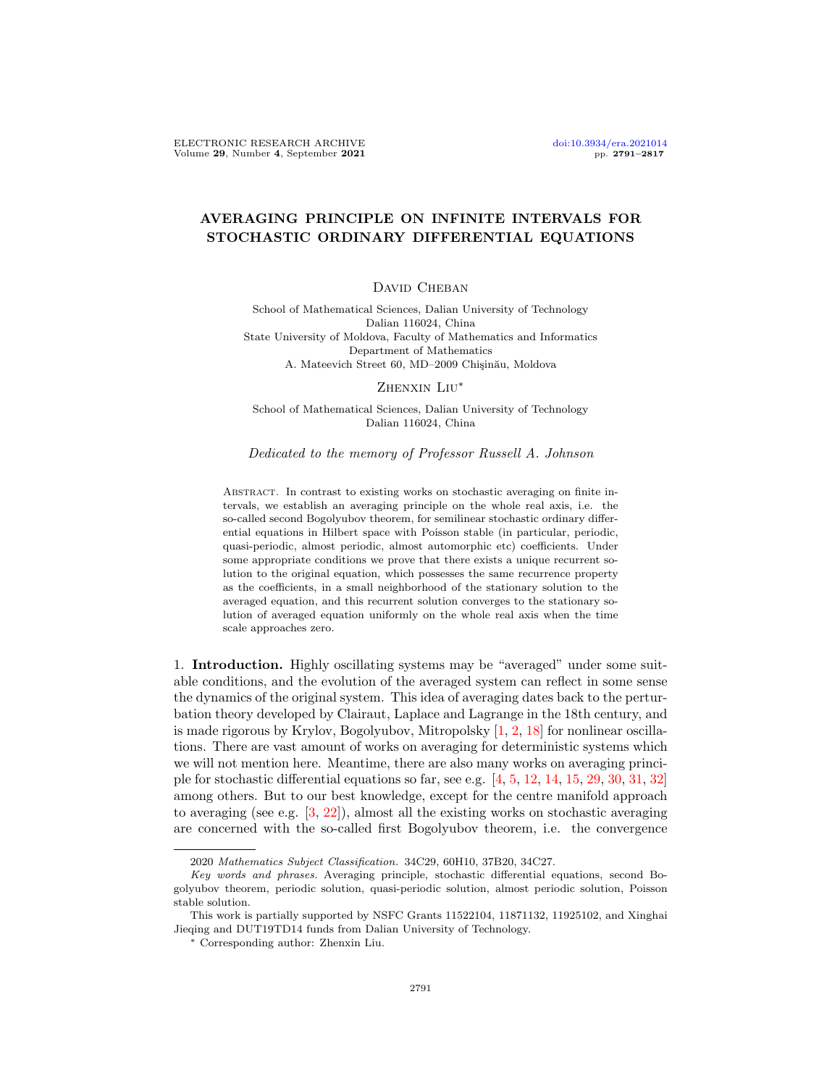# AVERAGING PRINCIPLE ON INFINITE INTERVALS FOR STOCHASTIC ORDINARY DIFFERENTIAL EQUATIONS

## DAVID CHEBAN

School of Mathematical Sciences, Dalian University of Technology Dalian 116024, China State University of Moldova, Faculty of Mathematics and Informatics Department of Mathematics A. Mateevich Street 60, MD–2009 Chișinău, Moldova

Zhenxin Liu<sup>∗</sup>

School of Mathematical Sciences, Dalian University of Technology Dalian 116024, China

Dedicated to the memory of Professor Russell A. Johnson

ABSTRACT. In contrast to existing works on stochastic averaging on finite intervals, we establish an averaging principle on the whole real axis, i.e. the so-called second Bogolyubov theorem, for semilinear stochastic ordinary differential equations in Hilbert space with Poisson stable (in particular, periodic, quasi-periodic, almost periodic, almost automorphic etc) coefficients. Under some appropriate conditions we prove that there exists a unique recurrent solution to the original equation, which possesses the same recurrence property as the coefficients, in a small neighborhood of the stationary solution to the averaged equation, and this recurrent solution converges to the stationary solution of averaged equation uniformly on the whole real axis when the time scale approaches zero.

1. Introduction. Highly oscillating systems may be "averaged" under some suitable conditions, and the evolution of the averaged system can reflect in some sense the dynamics of the original system. This idea of averaging dates back to the perturbation theory developed by Clairaut, Laplace and Lagrange in the 18th century, and is made rigorous by Krylov, Bogolyubov, Mitropolsky [\[1,](#page-25-0) [2,](#page-25-1) [18\]](#page-26-0) for nonlinear oscillations. There are vast amount of works on averaging for deterministic systems which we will not mention here. Meantime, there are also many works on averaging principle for stochastic differential equations so far, see e.g. [\[4,](#page-25-2) [5,](#page-25-3) [12,](#page-26-1) [14,](#page-26-2) [15,](#page-26-3) [29,](#page-26-4) [30,](#page-26-5) [31,](#page-26-6) [32\]](#page-26-7) among others. But to our best knowledge, except for the centre manifold approach to averaging (see e.g.  $[3, 22]$  $[3, 22]$  $[3, 22]$ ), almost all the existing works on stochastic averaging are concerned with the so-called first Bogolyubov theorem, i.e. the convergence

<sup>2020</sup> Mathematics Subject Classification. 34C29, 60H10, 37B20, 34C27.

Key words and phrases. Averaging principle, stochastic differential equations, second Bogolyubov theorem, periodic solution, quasi-periodic solution, almost periodic solution, Poisson stable solution.

This work is partially supported by NSFC Grants 11522104, 11871132, 11925102, and Xinghai Jieqing and DUT19TD14 funds from Dalian University of Technology.

<sup>∗</sup> Corresponding author: Zhenxin Liu.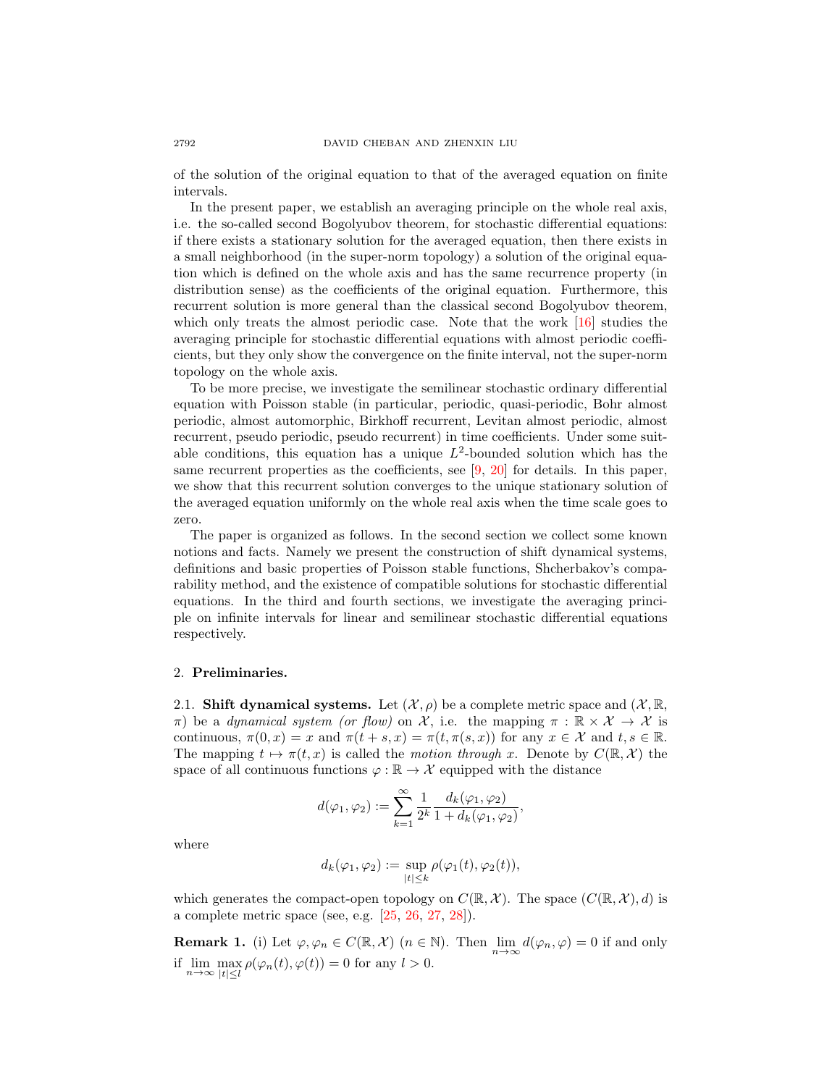of the solution of the original equation to that of the averaged equation on finite intervals.

In the present paper, we establish an averaging principle on the whole real axis, i.e. the so-called second Bogolyubov theorem, for stochastic differential equations: if there exists a stationary solution for the averaged equation, then there exists in a small neighborhood (in the super-norm topology) a solution of the original equation which is defined on the whole axis and has the same recurrence property (in distribution sense) as the coefficients of the original equation. Furthermore, this recurrent solution is more general than the classical second Bogolyubov theorem, which only treats the almost periodic case. Note that the work [\[16\]](#page-26-9) studies the averaging principle for stochastic differential equations with almost periodic coefficients, but they only show the convergence on the finite interval, not the super-norm topology on the whole axis.

To be more precise, we investigate the semilinear stochastic ordinary differential equation with Poisson stable (in particular, periodic, quasi-periodic, Bohr almost periodic, almost automorphic, Birkhoff recurrent, Levitan almost periodic, almost recurrent, pseudo periodic, pseudo recurrent) in time coefficients. Under some suitable conditions, this equation has a unique  $L^2$ -bounded solution which has the same recurrent properties as the coefficients, see [\[9,](#page-25-5) [20\]](#page-26-10) for details. In this paper, we show that this recurrent solution converges to the unique stationary solution of the averaged equation uniformly on the whole real axis when the time scale goes to zero.

The paper is organized as follows. In the second section we collect some known notions and facts. Namely we present the construction of shift dynamical systems, definitions and basic properties of Poisson stable functions, Shcherbakov's comparability method, and the existence of compatible solutions for stochastic differential equations. In the third and fourth sections, we investigate the averaging principle on infinite intervals for linear and semilinear stochastic differential equations respectively.

### 2. Preliminaries.

2.1. Shift dynamical systems. Let  $(\mathcal{X}, \rho)$  be a complete metric space and  $(\mathcal{X}, \mathbb{R}, \mathbb{R})$ π) be a dynamical system (or flow) on X, i.e. the mapping  $\pi : \mathbb{R} \times \mathcal{X} \to \mathcal{X}$  is continuous,  $\pi(0, x) = x$  and  $\pi(t + s, x) = \pi(t, \pi(s, x))$  for any  $x \in \mathcal{X}$  and  $t, s \in \mathbb{R}$ . The mapping  $t \mapsto \pi(t, x)$  is called the motion through x. Denote by  $C(\mathbb{R}, \mathcal{X})$  the space of all continuous functions  $\varphi : \mathbb{R} \to \mathcal{X}$  equipped with the distance

$$
d(\varphi_1,\varphi_2):=\sum_{k=1}^\infty \frac{1}{2^k}\frac{d_k(\varphi_1,\varphi_2)}{1+d_k(\varphi_1,\varphi_2)},
$$

where

$$
d_k(\varphi_1, \varphi_2) := \sup_{|t| \le k} \rho(\varphi_1(t), \varphi_2(t)),
$$

which generates the compact-open topology on  $C(\mathbb{R}, \mathcal{X})$ . The space  $(C(\mathbb{R}, \mathcal{X}), d)$  is a complete metric space (see, e.g. [\[25,](#page-26-11) [26,](#page-26-12) [27,](#page-26-13) [28\]](#page-26-14)).

**Remark 1.** (i) Let  $\varphi, \varphi_n \in C(\mathbb{R}, \mathcal{X})$   $(n \in \mathbb{N})$ . Then  $\lim_{n \to \infty} d(\varphi_n, \varphi) = 0$  if and only if  $\lim_{n\to\infty} \max_{|t|\leq l} \rho(\varphi_n(t), \varphi(t)) = 0$  for any  $l > 0$ .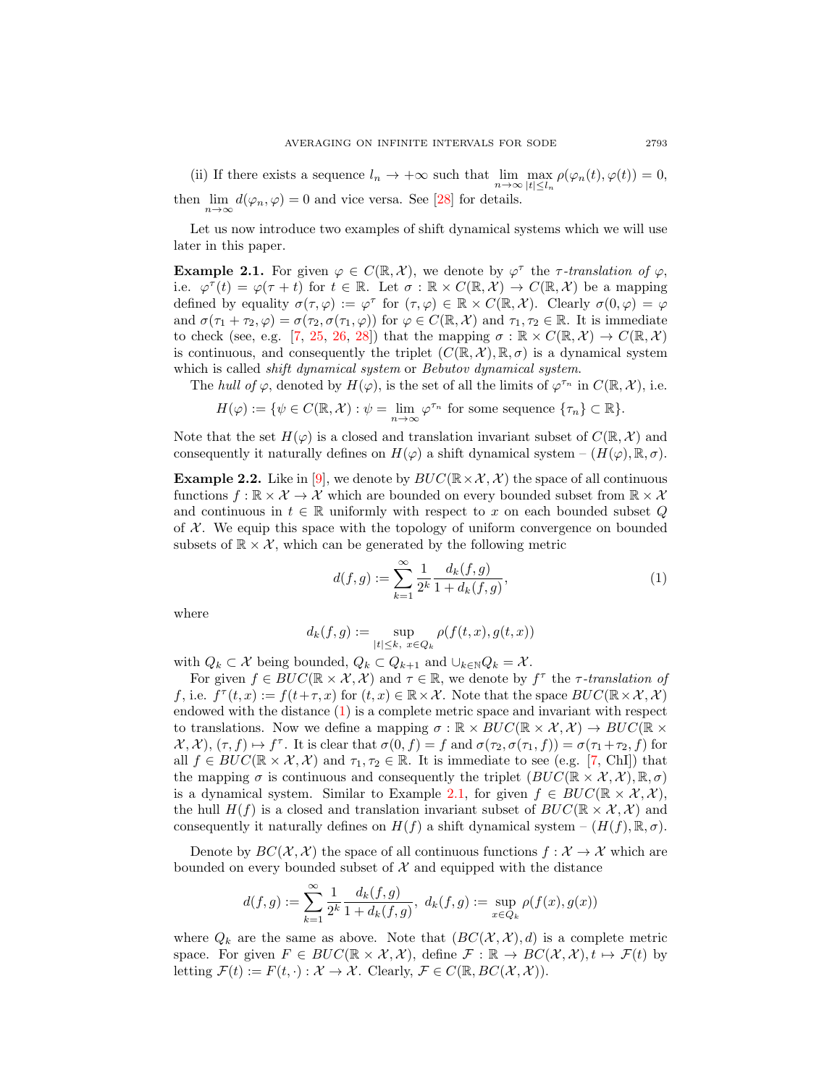(ii) If there exists a sequence  $l_n \to +\infty$  such that  $\lim_{n\to\infty} \max_{|t|\leq l_n} \rho(\varphi_n(t), \varphi(t)) = 0$ , then  $\lim_{n \to \infty} d(\varphi_n, \varphi) = 0$  and vice versa. See [\[28\]](#page-26-14) for details.

Let us now introduce two examples of shift dynamical systems which we will use later in this paper.

<span id="page-2-1"></span>**Example 2.1.** For given  $\varphi \in C(\mathbb{R}, \mathcal{X})$ , we denote by  $\varphi^{\tau}$  the  $\tau$ -translation of  $\varphi$ , i.e.  $\varphi^{\tau}(t) = \varphi(\tau + t)$  for  $t \in \mathbb{R}$ . Let  $\sigma : \mathbb{R} \times C(\mathbb{R}, \mathcal{X}) \to C(\mathbb{R}, \mathcal{X})$  be a mapping defined by equality  $\sigma(\tau,\varphi) := \varphi^{\tau}$  for  $(\tau,\varphi) \in \mathbb{R} \times C(\mathbb{R},\mathcal{X})$ . Clearly  $\sigma(0,\varphi) = \varphi$ and  $\sigma(\tau_1 + \tau_2, \varphi) = \sigma(\tau_2, \sigma(\tau_1, \varphi))$  for  $\varphi \in C(\mathbb{R}, \mathcal{X})$  and  $\tau_1, \tau_2 \in \mathbb{R}$ . It is immediate to check (see, e.g. [\[7,](#page-25-6) [25,](#page-26-11) [26,](#page-26-12) [28\]](#page-26-14)) that the mapping  $\sigma : \mathbb{R} \times C(\mathbb{R}, \mathcal{X}) \to C(\mathbb{R}, \mathcal{X})$ is continuous, and consequently the triplet  $(C(\mathbb{R}, \mathcal{X}), \mathbb{R}, \sigma)$  is a dynamical system which is called *shift dynamical system* or *Bebutov dynamical system*.

The hull of  $\varphi$ , denoted by  $H(\varphi)$ , is the set of all the limits of  $\varphi^{\tau_n}$  in  $C(\mathbb{R},\mathcal{X})$ , i.e.

$$
H(\varphi) := \{ \psi \in C(\mathbb{R}, \mathcal{X}) : \psi = \lim_{n \to \infty} \varphi^{\tau_n} \text{ for some sequence } \{\tau_n\} \subset \mathbb{R} \}.
$$

Note that the set  $H(\varphi)$  is a closed and translation invariant subset of  $C(\mathbb{R}, \mathcal{X})$  and consequently it naturally defines on  $H(\varphi)$  a shift dynamical system –  $(H(\varphi), \mathbb{R}, \sigma)$ .

**Example 2.2.** Like in [\[9\]](#page-25-5), we denote by  $BUC(\mathbb{R}\times\mathcal{X}, \mathcal{X})$  the space of all continuous functions  $f: \mathbb{R} \times \mathcal{X} \to \mathcal{X}$  which are bounded on every bounded subset from  $\mathbb{R} \times \mathcal{X}$ and continuous in  $t \in \mathbb{R}$  uniformly with respect to x on each bounded subset Q of  $X$ . We equip this space with the topology of uniform convergence on bounded subsets of  $\mathbb{R} \times \mathcal{X}$ , which can be generated by the following metric

<span id="page-2-0"></span>
$$
d(f,g) := \sum_{k=1}^{\infty} \frac{1}{2^k} \frac{d_k(f,g)}{1 + d_k(f,g)},
$$
\n(1)

where

$$
d_k(f,g):=\sup_{|t|\leq k,\ x\in Q_k}\rho(f(t,x),g(t,x))
$$

with  $Q_k \subset \mathcal{X}$  being bounded,  $Q_k \subset Q_{k+1}$  and  $\cup_{k \in \mathbb{N}} Q_k = \mathcal{X}$ .

For given  $f \in BUC(\mathbb{R} \times \mathcal{X}, \mathcal{X})$  and  $\tau \in \mathbb{R}$ , we denote by  $f^{\tau}$  the  $\tau$ -translation of f, i.e.  $f^{\tau}(t, x) := f(t + \tau, x)$  for  $(t, x) \in \mathbb{R} \times \mathcal{X}$ . Note that the space  $BUC(\mathbb{R} \times \mathcal{X}, \mathcal{X})$ endowed with the distance  $(1)$  is a complete metric space and invariant with respect to translations. Now we define a mapping  $\sigma : \mathbb{R} \times BUC(\mathbb{R} \times \mathcal{X}, \mathcal{X}) \to BUC(\mathbb{R} \times \mathcal{X})$  $\mathcal{X}, \mathcal{X}, (\tau, f) \mapsto f^{\tau}$ . It is clear that  $\sigma(0, f) = f$  and  $\sigma(\tau_2, \sigma(\tau_1, f)) = \sigma(\tau_1 + \tau_2, f)$  for all  $f \in BUC(\mathbb{R} \times \mathcal{X}, \mathcal{X})$  and  $\tau_1, \tau_2 \in \mathbb{R}$ . It is immediate to see (e.g. [\[7,](#page-25-6) ChI]) that the mapping  $\sigma$  is continuous and consequently the triplet  $(BUC(\mathbb{R} \times \mathcal{X}, \mathcal{X}), \mathbb{R}, \sigma)$ is a dynamical system. Similar to Example [2.1,](#page-2-1) for given  $f \in BUC(\mathbb{R} \times \mathcal{X}, \mathcal{X})$ , the hull  $H(f)$  is a closed and translation invariant subset of  $BUC(\mathbb{R} \times \mathcal{X}, \mathcal{X})$  and consequently it naturally defines on  $H(f)$  a shift dynamical system  $-(H(f), \mathbb{R}, \sigma)$ .

Denote by  $BC(\mathcal{X}, \mathcal{X})$  the space of all continuous functions  $f : \mathcal{X} \to \mathcal{X}$  which are bounded on every bounded subset of  $\mathcal X$  and equipped with the distance

$$
d(f,g):=\sum_{k=1}^\infty \frac{1}{2^k} \frac{d_k(f,g)}{1+d_k(f,g)}, \ d_k(f,g):=\sup_{x\in Q_k} \rho(f(x),g(x))
$$

where  $Q_k$  are the same as above. Note that  $(BC(X, \mathcal{X}), d)$  is a complete metric space. For given  $F \in BUC(\mathbb{R} \times \mathcal{X}, \mathcal{X})$ , define  $\mathcal{F} : \mathbb{R} \to BC(\mathcal{X}, \mathcal{X}), t \mapsto \mathcal{F}(t)$  by letting  $\mathcal{F}(t) := F(t, \cdot) : \mathcal{X} \to \mathcal{X}$ . Clearly,  $\mathcal{F} \in C(\mathbb{R}, BC(\mathcal{X}, \mathcal{X}))$ .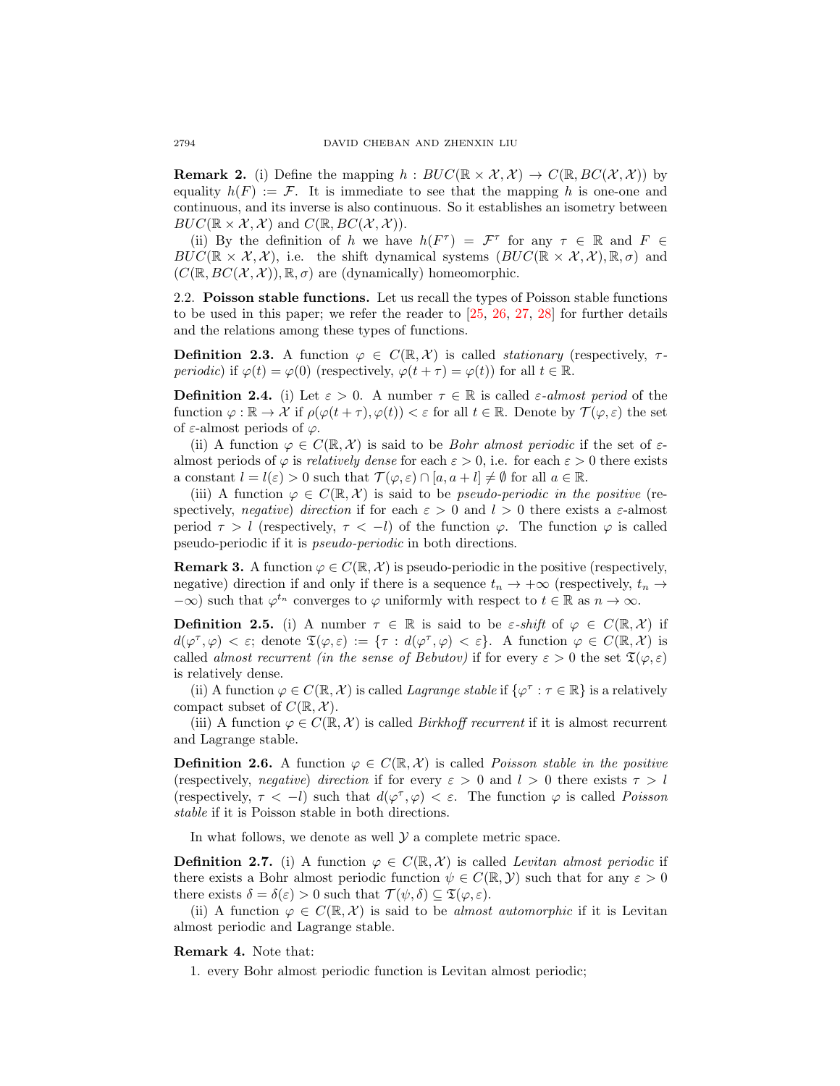<span id="page-3-0"></span>**Remark 2.** (i) Define the mapping  $h : BUC(\mathbb{R} \times \mathcal{X}, \mathcal{X}) \to C(\mathbb{R}, BC(\mathcal{X}, \mathcal{X}))$  by equality  $h(F) := \mathcal{F}$ . It is immediate to see that the mapping h is one-one and continuous, and its inverse is also continuous. So it establishes an isometry between  $BUC(\mathbb{R} \times \mathcal{X}, \mathcal{X})$  and  $C(\mathbb{R}, BC(\mathcal{X}, \mathcal{X}))$ .

(ii) By the definition of h we have  $h(F^{\tau}) = \mathcal{F}^{\tau}$  for any  $\tau \in \mathbb{R}$  and  $F \in$  $BUC(\mathbb{R} \times \mathcal{X}, \mathcal{X})$ , i.e. the shift dynamical systems  $(BUC(\mathbb{R} \times \mathcal{X}, \mathcal{X}), \mathbb{R}, \sigma)$  and  $(C(\mathbb{R}, BC(X, \mathcal{X}))$ ,  $\mathbb{R}, \sigma)$  are (dynamically) homeomorphic.

2.2. Poisson stable functions. Let us recall the types of Poisson stable functions to be used in this paper; we refer the reader to  $[25, 26, 27, 28]$  $[25, 26, 27, 28]$  $[25, 26, 27, 28]$  $[25, 26, 27, 28]$  $[25, 26, 27, 28]$  $[25, 26, 27, 28]$  $[25, 26, 27, 28]$  for further details and the relations among these types of functions.

**Definition 2.3.** A function  $\varphi \in C(\mathbb{R}, \mathcal{X})$  is called *stationary* (respectively,  $\tau$ periodic) if  $\varphi(t) = \varphi(0)$  (respectively,  $\varphi(t + \tau) = \varphi(t)$ ) for all  $t \in \mathbb{R}$ .

**Definition 2.4.** (i) Let  $\varepsilon > 0$ . A number  $\tau \in \mathbb{R}$  is called  $\varepsilon$ -almost period of the function  $\varphi : \mathbb{R} \to \mathcal{X}$  if  $\rho(\varphi(t+\tau), \varphi(t)) < \varepsilon$  for all  $t \in \mathbb{R}$ . Denote by  $\mathcal{T}(\varphi, \varepsilon)$  the set of  $\varepsilon$ -almost periods of  $\varphi$ .

(ii) A function  $\varphi \in C(\mathbb{R}, \mathcal{X})$  is said to be *Bohr almost periodic* if the set of  $\varepsilon$ almost periods of  $\varphi$  is *relatively dense* for each  $\varepsilon > 0$ , i.e. for each  $\varepsilon > 0$  there exists a constant  $l = l(\varepsilon) > 0$  such that  $\mathcal{T}(\varphi, \varepsilon) \cap [a, a+l] \neq \emptyset$  for all  $a \in \mathbb{R}$ .

(iii) A function  $\varphi \in C(\mathbb{R}, \mathcal{X})$  is said to be *pseudo-periodic in the positive* (respectively, negative) direction if for each  $\varepsilon > 0$  and  $l > 0$  there exists a  $\varepsilon$ -almost period  $\tau > l$  (respectively,  $\tau < -l$ ) of the function  $\varphi$ . The function  $\varphi$  is called pseudo-periodic if it is pseudo-periodic in both directions.

**Remark 3.** A function  $\varphi \in C(\mathbb{R}, \mathcal{X})$  is pseudo-periodic in the positive (respectively, negative) direction if and only if there is a sequence  $t_n \to +\infty$  (respectively,  $t_n \to$  $-\infty$ ) such that  $\varphi^{t_n}$  converges to  $\varphi$  uniformly with respect to  $t \in \mathbb{R}$  as  $n \to \infty$ .

**Definition 2.5.** (i) A number  $\tau \in \mathbb{R}$  is said to be  $\varepsilon$ -shift of  $\varphi \in C(\mathbb{R}, \mathcal{X})$  if  $d(\varphi^{\tau}, \varphi) < \varepsilon$ ; denote  $\mathfrak{T}(\varphi, \varepsilon) := \{ \tau : d(\varphi^{\tau}, \varphi) < \varepsilon \}.$  A function  $\varphi \in C(\mathbb{R}, \mathcal{X})$  is called almost recurrent (in the sense of Bebutov) if for every  $\varepsilon > 0$  the set  $\mathfrak{T}(\varphi, \varepsilon)$ is relatively dense.

(ii) A function  $\varphi \in C(\mathbb{R}, \mathcal{X})$  is called *Lagrange stable* if  $\{\varphi^{\tau} : \tau \in \mathbb{R}\}\)$  is a relatively compact subset of  $C(\mathbb{R}, \mathcal{X})$ .

(iii) A function  $\varphi \in C(\mathbb{R}, \mathcal{X})$  is called *Birkhoff recurrent* if it is almost recurrent and Lagrange stable.

**Definition 2.6.** A function  $\varphi \in C(\mathbb{R}, \mathcal{X})$  is called *Poisson stable in the positive* (respectively, negative) direction if for every  $\varepsilon > 0$  and  $l > 0$  there exists  $\tau > l$ (respectively,  $\tau < -l$ ) such that  $d(\varphi^{\tau}, \varphi) < \varepsilon$ . The function  $\varphi$  is called *Poisson* stable if it is Poisson stable in both directions.

In what follows, we denote as well  $\mathcal Y$  a complete metric space.

**Definition 2.7.** (i) A function  $\varphi \in C(\mathbb{R}, \mathcal{X})$  is called Levitan almost periodic if there exists a Bohr almost periodic function  $\psi \in C(\mathbb{R}, \mathcal{Y})$  such that for any  $\varepsilon > 0$ there exists  $\delta = \delta(\varepsilon) > 0$  such that  $\mathcal{T}(\psi, \delta) \subseteq \mathfrak{T}(\varphi, \varepsilon)$ .

(ii) A function  $\varphi \in C(\mathbb{R}, \mathcal{X})$  is said to be almost automorphic if it is Levitan almost periodic and Lagrange stable.

#### Remark 4. Note that:

1. every Bohr almost periodic function is Levitan almost periodic;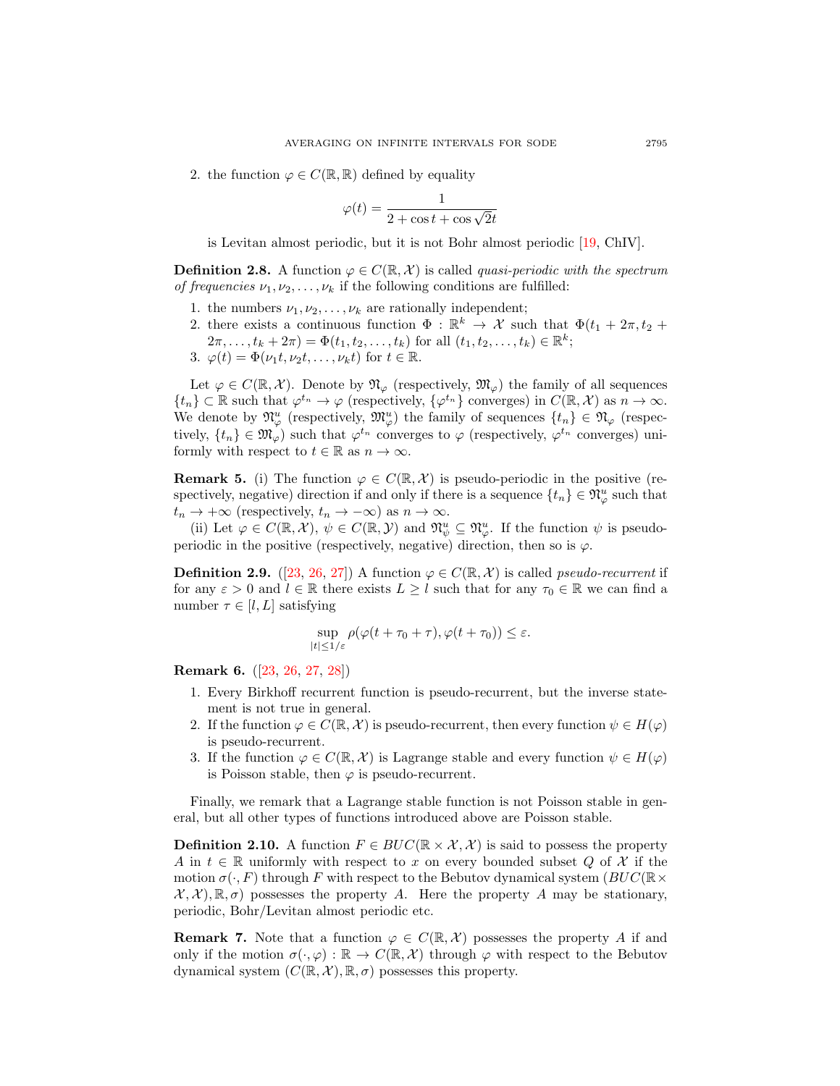2. the function  $\varphi \in C(\mathbb{R}, \mathbb{R})$  defined by equality

$$
\varphi(t) = \frac{1}{2 + \cos t + \cos \sqrt{2}t}
$$

is Levitan almost periodic, but it is not Bohr almost periodic [\[19,](#page-26-15) ChIV].

**Definition 2.8.** A function  $\varphi \in C(\mathbb{R}, \mathcal{X})$  is called *quasi-periodic with the spectrum* of frequencies  $\nu_1, \nu_2, \ldots, \nu_k$  if the following conditions are fulfilled:

- 1. the numbers  $\nu_1, \nu_2, \dots, \nu_k$  are rationally independent;
- 2. there exists a continuous function  $\Phi : \mathbb{R}^k \to \mathcal{X}$  such that  $\Phi(t_1 + 2\pi, t_2 +$  $(2\pi, \ldots, t_k + 2\pi) = \Phi(t_1, t_2, \ldots, t_k)$  for all  $(t_1, t_2, \ldots, t_k) \in \mathbb{R}^k$ ;
- 3.  $\varphi(t) = \Phi(\nu_1 t, \nu_2 t, \dots, \nu_k t)$  for  $t \in \mathbb{R}$ .

Let  $\varphi \in C(\mathbb{R}, \mathcal{X})$ . Denote by  $\mathfrak{N}_{\varphi}$  (respectively,  $\mathfrak{M}_{\varphi}$ ) the family of all sequences  $\{t_n\} \subset \mathbb{R}$  such that  $\varphi^{t_n} \to \varphi$  (respectively,  $\{\varphi^{t_n}\}$  converges) in  $C(\mathbb{R}, \mathcal{X})$  as  $n \to \infty$ . We denote by  $\mathfrak{N}_{\varphi}^u$  (respectively,  $\mathfrak{M}_{\varphi}^u$ ) the family of sequences  $\{t_n\} \in \mathfrak{N}_{\varphi}$  (respectively,  $\{t_n\} \in \mathfrak{M}_{\varphi}$  such that  $\varphi^{t_n}$  converges to  $\varphi$  (respectively,  $\varphi^{t_n}$  converges) uniformly with respect to  $t \in \mathbb{R}$  as  $n \to \infty$ .

**Remark 5.** (i) The function  $\varphi \in C(\mathbb{R}, \mathcal{X})$  is pseudo-periodic in the positive (respectively, negative) direction if and only if there is a sequence  $\{t_n\} \in \mathfrak{N}_{\varphi}^u$  such that  $t_n \to +\infty$  (respectively,  $t_n \to -\infty$ ) as  $n \to \infty$ .

(ii) Let  $\varphi \in C(\mathbb{R}, \mathcal{X}), \psi \in C(\mathbb{R}, \mathcal{Y})$  and  $\mathfrak{N}_{\psi}^u \subseteq \mathfrak{N}_{\varphi}^u$ . If the function  $\psi$  is pseudoperiodic in the positive (respectively, negative) direction, then so is  $\varphi$ .

**Definition 2.9.** ([\[23,](#page-26-16) [26,](#page-26-12) [27\]](#page-26-13)) A function  $\varphi \in C(\mathbb{R}, \mathcal{X})$  is called *pseudo-recurrent* if for any  $\varepsilon > 0$  and  $l \in \mathbb{R}$  there exists  $L \geq l$  such that for any  $\tau_0 \in \mathbb{R}$  we can find a number  $\tau \in [l, L]$  satisfying

$$
\sup_{|t|\leq 1/\varepsilon}\rho(\varphi(t+\tau_0+\tau),\varphi(t+\tau_0))\leq\varepsilon.
$$

Remark 6. ([\[23,](#page-26-16) [26,](#page-26-12) [27,](#page-26-13) [28\]](#page-26-14))

- 1. Every Birkhoff recurrent function is pseudo-recurrent, but the inverse statement is not true in general.
- 2. If the function  $\varphi \in C(\mathbb{R}, \mathcal{X})$  is pseudo-recurrent, then every function  $\psi \in H(\varphi)$ is pseudo-recurrent.
- 3. If the function  $\varphi \in C(\mathbb{R}, \mathcal{X})$  is Lagrange stable and every function  $\psi \in H(\varphi)$ is Poisson stable, then  $\varphi$  is pseudo-recurrent.

Finally, we remark that a Lagrange stable function is not Poisson stable in general, but all other types of functions introduced above are Poisson stable.

**Definition 2.10.** A function  $F \in BUC(\mathbb{R} \times \mathcal{X}, \mathcal{X})$  is said to possess the property A in  $t \in \mathbb{R}$  uniformly with respect to x on every bounded subset Q of X if the motion  $\sigma(\cdot, F)$  through F with respect to the Bebutov dynamical system ( $BUC(\mathbb{R}\times$  $\mathcal{X}, \mathcal{X}, \mathcal{X}, \mathbb{R}, \sigma$  possesses the property A. Here the property A may be stationary, periodic, Bohr/Levitan almost periodic etc.

**Remark 7.** Note that a function  $\varphi \in C(\mathbb{R}, \mathcal{X})$  possesses the property A if and only if the motion  $\sigma(\cdot,\varphi): \mathbb{R} \to C(\mathbb{R},\mathcal{X})$  through  $\varphi$  with respect to the Bebutov dynamical system  $(C(\mathbb{R}, \mathcal{X}), \mathbb{R}, \sigma)$  possesses this property.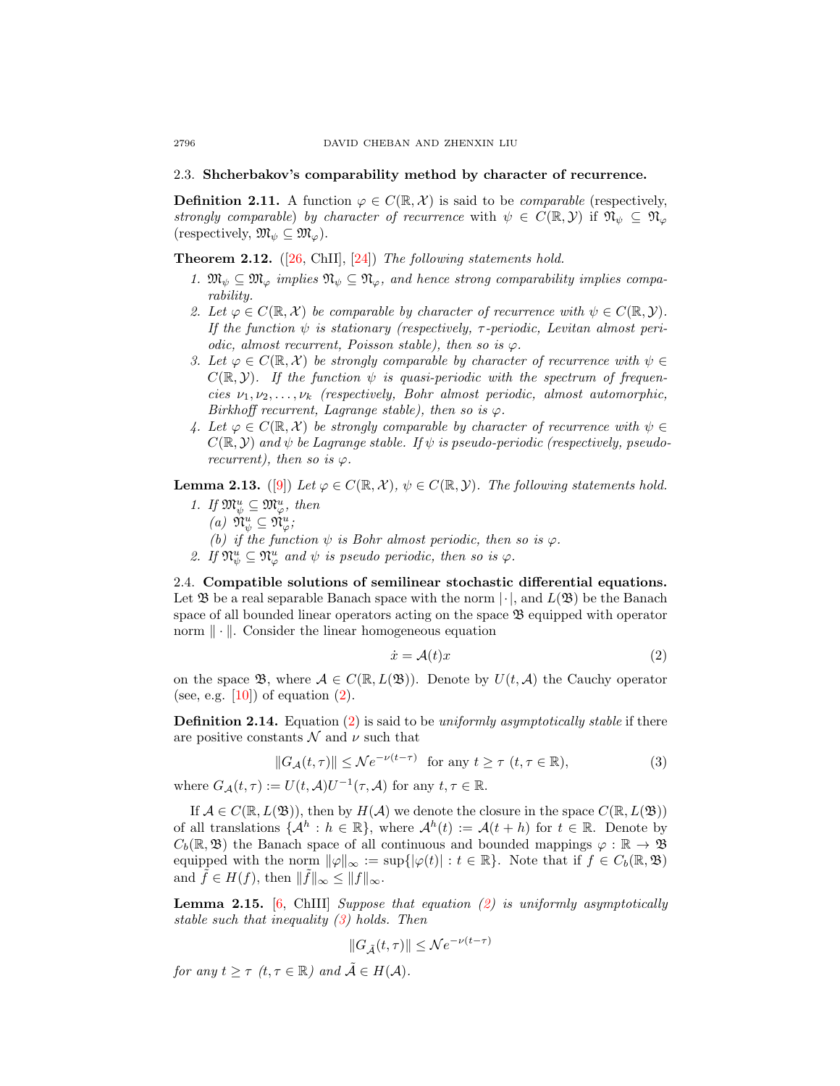#### 2.3. Shcherbakov's comparability method by character of recurrence.

**Definition 2.11.** A function  $\varphi \in C(\mathbb{R}, \mathcal{X})$  is said to be *comparable* (respectively, strongly comparable) by character of recurrence with  $\psi \in C(\mathbb{R}, \mathcal{Y})$  if  $\mathfrak{N}_{\psi} \subseteq \mathfrak{N}_{\varphi}$ (respectively,  $\mathfrak{M}_{\psi} \subseteq \mathfrak{M}_{\varphi}$ ).

<span id="page-5-4"></span>**Theorem 2.12.**  $([26, ChII], [24])$  $([26, ChII], [24])$  $([26, ChII], [24])$  $([26, ChII], [24])$  $([26, ChII], [24])$  The following statements hold.

- 1.  $\mathfrak{M}_{\psi} \subseteq \mathfrak{M}_{\varphi}$  implies  $\mathfrak{N}_{\psi} \subseteq \mathfrak{N}_{\varphi}$ , and hence strong comparability implies comparability.
- 2. Let  $\varphi \in C(\mathbb{R}, \mathcal{X})$  be comparable by character of recurrence with  $\psi \in C(\mathbb{R}, \mathcal{Y})$ . If the function  $\psi$  is stationary (respectively,  $\tau$ -periodic, Levitan almost periodic, almost recurrent, Poisson stable), then so is  $\varphi$ .
- 3. Let  $\varphi \in C(\mathbb{R}, \mathcal{X})$  be strongly comparable by character of recurrence with  $\psi \in$  $C(\mathbb{R}, \mathcal{Y})$ . If the function  $\psi$  is quasi-periodic with the spectrum of frequencies  $\nu_1, \nu_2, \ldots, \nu_k$  (respectively, Bohr almost periodic, almost automorphic, Birkhoff recurrent, Lagrange stable), then so is  $\varphi$ .
- 4. Let  $\varphi \in C(\mathbb{R}, \mathcal{X})$  be strongly comparable by character of recurrence with  $\psi \in$  $C(\mathbb{R}, \mathcal{Y})$  and  $\psi$  be Lagrange stable. If  $\psi$  is pseudo-periodic (respectively, pseudorecurrent), then so is  $\varphi$ .

**Lemma 2.13.** ([\[9\]](#page-25-5)) Let  $\varphi \in C(\mathbb{R}, \mathcal{X})$ ,  $\psi \in C(\mathbb{R}, \mathcal{Y})$ . The following statements hold.

- 1. If  $\mathfrak{M}_{\psi}^u \subseteq \mathfrak{M}_{\varphi}^u$ , then
	- (a)  $\mathfrak{N}_{\psi}^u \subseteq \mathfrak{N}_{\varphi}^u$ ;
	- (b) if the function  $\psi$  is Bohr almost periodic, then so is  $\varphi$ .
- 2. If  $\mathfrak{N}_{\psi}^u \subseteq \mathfrak{N}_{\varphi}^u$  and  $\psi$  is pseudo periodic, then so is  $\varphi$ .

2.4. Compatible solutions of semilinear stochastic differential equations. Let  $\mathfrak B$  be a real separable Banach space with the norm  $|\cdot|$ , and  $L(\mathfrak B)$  be the Banach space of all bounded linear operators acting on the space B equipped with operator norm  $\|\cdot\|$ . Consider the linear homogeneous equation

<span id="page-5-0"></span>
$$
\dot{x} = \mathcal{A}(t)x \tag{2}
$$

on the space B, where  $A \in C(\mathbb{R}, L(\mathfrak{B}))$ . Denote by  $U(t, \mathcal{A})$  the Cauchy operator (see, e.g.  $[10]$ ) of equation  $(2)$ .

<span id="page-5-3"></span>**Definition 2.14.** Equation [\(2\)](#page-5-0) is said to be *uniformly asymptotically stable* if there are positive constants  $\mathcal N$  and  $\nu$  such that

<span id="page-5-1"></span>
$$
||G_{\mathcal{A}}(t,\tau)|| \leq \mathcal{N}e^{-\nu(t-\tau)} \quad \text{for any } t \geq \tau \ (t,\tau \in \mathbb{R}),\tag{3}
$$

where  $G_{\mathcal{A}}(t,\tau) := U(t,\mathcal{A})U^{-1}(\tau,\mathcal{A})$  for any  $t,\tau \in \mathbb{R}$ .

If  $\mathcal{A} \in C(\mathbb{R}, L(\mathfrak{B}))$ , then by  $H(\mathcal{A})$  we denote the closure in the space  $C(\mathbb{R}, L(\mathfrak{B}))$ of all translations  $\{\mathcal{A}^h : h \in \mathbb{R}\}$ , where  $\mathcal{A}^h(t) := \mathcal{A}(t+h)$  for  $t \in \mathbb{R}$ . Denote by  $C_b(\mathbb{R}, \mathfrak{B})$  the Banach space of all continuous and bounded mappings  $\varphi : \mathbb{R} \to \mathfrak{B}$ equipped with the norm  $\|\varphi\|_{\infty} := \sup\{|\varphi(t)| : t \in \mathbb{R}\}\.$  Note that if  $f \in C_b(\mathbb{R}, \mathfrak{B})$ and  $\tilde{f} \in H(f)$ , then  $\|\tilde{f}\|_{\infty} \leq \|f\|_{\infty}$ .

**Lemma 2.15.** [\[6,](#page-25-8) ChIII] Suppose that equation  $(2)$  is uniformly asymptotically stable such that inequality  $(3)$  holds. Then

<span id="page-5-2"></span>
$$
||G_{\tilde{A}}(t,\tau)|| \leq Ne^{-\nu(t-\tau)}
$$

for any  $t > \tau$  (t,  $\tau \in \mathbb{R}$ ) and  $\tilde{\mathcal{A}} \in H(\mathcal{A})$ .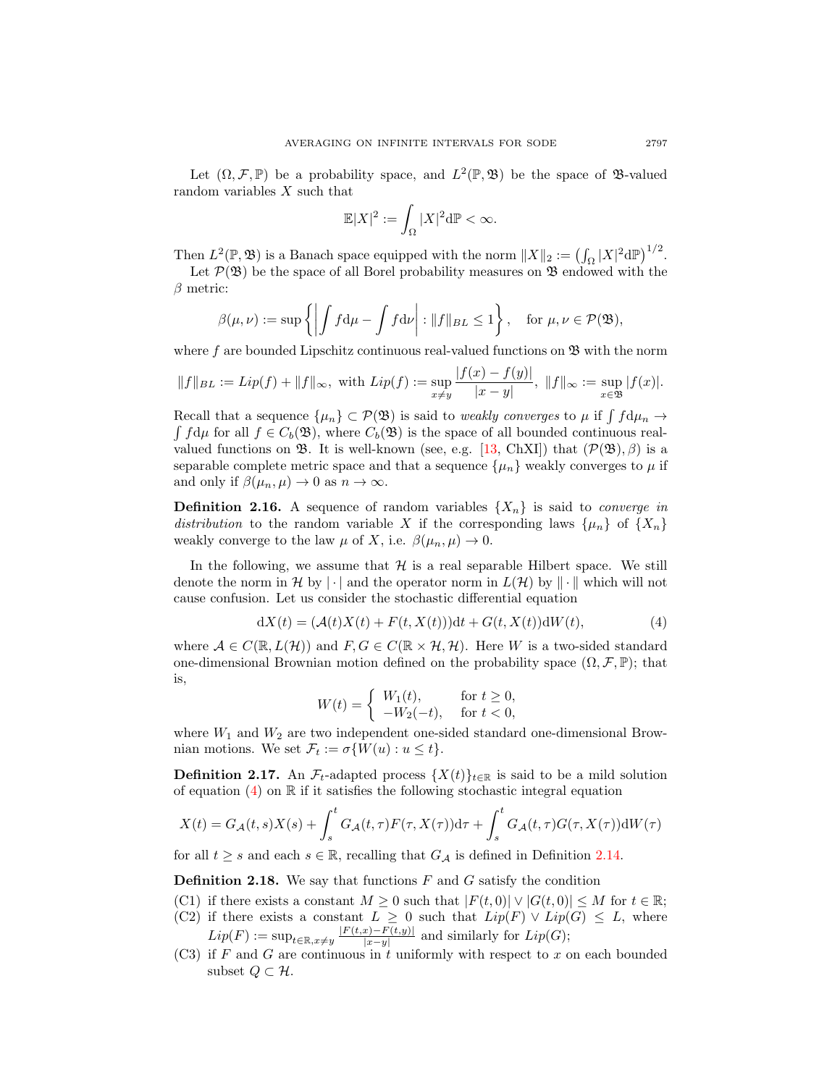Let  $(\Omega, \mathcal{F}, \mathbb{P})$  be a probability space, and  $L^2(\mathbb{P}, \mathfrak{B})$  be the space of  $\mathfrak{B}\text{-valued}$ random variables X such that

$$
\mathbb{E}|X|^2 := \int_{\Omega} |X|^2 \mathrm{d}\mathbb{P} < \infty.
$$

Then  $L^2(\mathbb{P}, \mathfrak{B})$  is a Banach space equipped with the norm  $||X||_2 := (\int_{\Omega} |X|^2 d\mathbb{P})^{1/2}$ . Let  $\mathcal{P}(\mathfrak{B})$  be the space of all Borel probability measures on  $\mathfrak{B}$  endowed with the

 $\beta$  metric:

$$
\beta(\mu,\nu) := \sup \left\{ \left| \int f d\mu - \int f d\nu \right| : \|f\|_{BL} \le 1 \right\}, \text{ for } \mu,\nu \in \mathcal{P}(\mathfrak{B}),
$$

where f are bounded Lipschitz continuous real-valued functions on  $\mathfrak{B}$  with the norm

$$
\|f\|_{BL}:=Lip(f)+\|f\|_{\infty},\,\,\text{with}\,\, Lip(f):=\sup_{x\neq y}\frac{|f(x)-f(y)|}{|x-y|},\,\,\|f\|_{\infty}:=\sup_{x\in\mathfrak{B}}|f(x)|.
$$

Recall that a sequence  $\{\mu_n\} \subset \mathcal{P}(\mathfrak{B})$  is said to *weakly converges* to  $\mu$  if  $\int f d\mu_n \to$  $\int f d\mu$  for all  $f \in C_b(\mathfrak{B})$ , where  $C_b(\mathfrak{B})$  is the space of all bounded continuous realvalued functions on  $\mathfrak{B}$ . It is well-known (see, e.g. [\[13,](#page-26-18) ChXI]) that  $(\mathcal{P}(\mathfrak{B}), \beta)$  is a separable complete metric space and that a sequence  $\{\mu_n\}$  weakly converges to  $\mu$  if and only if  $\beta(\mu_n, \mu) \to 0$  as  $n \to \infty$ .

**Definition 2.16.** A sequence of random variables  $\{X_n\}$  is said to *converge in* distribution to the random variable X if the corresponding laws  $\{\mu_n\}$  of  $\{X_n\}$ weakly converge to the law  $\mu$  of X, i.e.  $\beta(\mu_n, \mu) \to 0$ .

In the following, we assume that  $H$  is a real separable Hilbert space. We still denote the norm in H by | | and the operator norm in  $L(\mathcal{H})$  by  $\|\cdot\|$  which will not cause confusion. Let us consider the stochastic differential equation

$$
dX(t) = (\mathcal{A}(t)X(t) + F(t, X(t)))dt + G(t, X(t))dW(t),
$$
\n(4)

where  $A \in C(\mathbb{R}, L(\mathcal{H}))$  and  $F, G \in C(\mathbb{R} \times \mathcal{H}, \mathcal{H})$ . Here W is a two-sided standard one-dimensional Brownian motion defined on the probability space  $(\Omega, \mathcal{F}, \mathbb{P})$ ; that is,

$$
W(t) = \begin{cases} W_1(t), & \text{for } t \ge 0, \\ -W_2(-t), & \text{for } t < 0, \end{cases}
$$

where  $W_1$  and  $W_2$  are two independent one-sided standard one-dimensional Brownian motions. We set  $\mathcal{F}_t := \sigma\{W(u) : u \leq t\}.$ 

**Definition 2.17.** An  $\mathcal{F}_t$ -adapted process  $\{X(t)\}_{t\in\mathbb{R}}$  is said to be a mild solution of equation  $(4)$  on R if it satisfies the following stochastic integral equation

$$
X(t) = G_{\mathcal{A}}(t, s)X(s) + \int_{s}^{t} G_{\mathcal{A}}(t, \tau)F(\tau, X(\tau))\mathrm{d}\tau + \int_{s}^{t} G_{\mathcal{A}}(t, \tau)G(\tau, X(\tau))\mathrm{d}W(\tau)
$$

for all  $t \geq s$  and each  $s \in \mathbb{R}$ , recalling that  $G_{\mathcal{A}}$  is defined in Definition [2.14.](#page-5-3)

**Definition 2.18.** We say that functions  $F$  and  $G$  satisfy the condition

- (C1) if there exists a constant  $M \geq 0$  such that  $|F(t, 0)| \vee |G(t, 0)| \leq M$  for  $t \in \mathbb{R}$ ;
- (C2) if there exists a constant  $L \geq 0$  such that  $Lip(F) \vee Lip(G) \leq L$ , where  $Lip(F) := \sup_{t \in \mathbb{R}, x \neq y} \frac{|F(t,x) - F(t,y)|}{|x-y|}$  $\frac{|x|-F(t,y)|}{|x-y|}$  and similarly for  $Lip(G);$
- $(C3)$  if F and G are continuous in t uniformly with respect to x on each bounded subset  $Q \subset \mathcal{H}$ .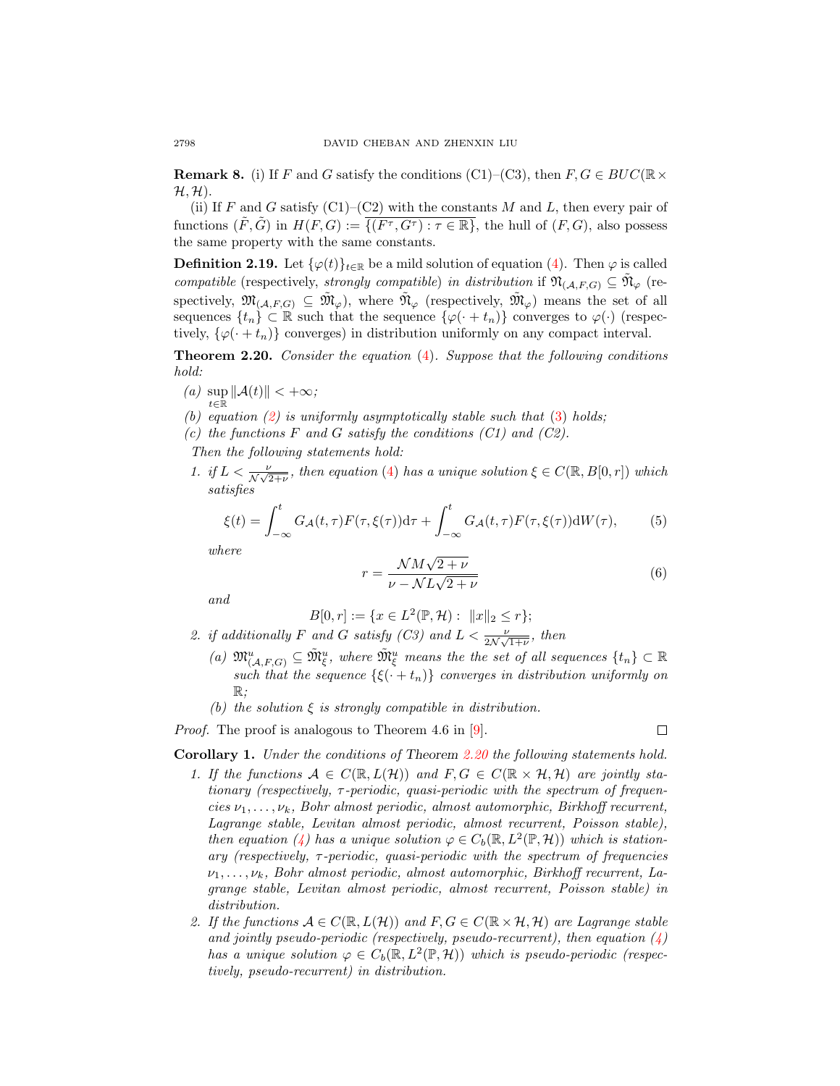**Remark 8.** (i) If F and G satisfy the conditions (C1)–(C3), then  $F, G \in BUC(\mathbb{R} \times$  $\mathcal{H}, \mathcal{H}$ ).

(ii) If F and G satisfy  $(C1)$ – $(C2)$  with the constants M and L, then every pair of functions  $(\tilde{F}, \tilde{G})$  in  $H(F, G) := \overline{\{(F^{\tau}, G^{\tau}) : \tau \in \mathbb{R}\}}$ , the hull of  $(F, G)$ , also possess the same property with the same constants.

**Definition 2.19.** Let  $\{\varphi(t)\}_{t\in\mathbb{R}}$  be a mild solution of equation [\(4\)](#page-5-2). Then  $\varphi$  is called compatible (respectively, strongly compatible) in distribution if  $\mathfrak{N}_{(\mathcal{A},F,G)} \subseteq \tilde{\mathfrak{N}}_{\varphi}$  (respectively,  $\mathfrak{M}_{(\mathcal{A},F,G)} \subseteq \tilde{\mathfrak{M}}_{\varphi}$ ), where  $\tilde{\mathfrak{N}}_{\varphi}$  (respectively,  $\tilde{\mathfrak{M}}_{\varphi}$ ) means the set of all sequences  $\{t_n\} \subset \mathbb{R}$  such that the sequence  $\{\varphi(\cdot + t_n)\}$  converges to  $\varphi(\cdot)$  (respectively,  $\{\varphi(\cdot + t_n)\}$  converges) in distribution uniformly on any compact interval.

<span id="page-7-0"></span>Theorem 2.20. Consider the equation [\(4\)](#page-5-2). Suppose that the following conditions hold:

- (a)  $\sup_{t \in \mathbb{R}} ||\mathcal{A}(t)|| < +\infty;$
- (b) equation  $(2)$  is uniformly asymptotically stable such that  $(3)$  holds;
- (c) the functions  $F$  and  $G$  satisfy the conditions  $(C1)$  and  $(C2)$ .

Then the following statements hold:

1. if  $L < \frac{\nu}{\mathcal{N}\sqrt{2+\nu}}$ , then equation [\(4\)](#page-5-2) has a unique solution  $\xi \in C(\mathbb{R}, B[0,r])$  which satisfies

$$
\xi(t) = \int_{-\infty}^{t} G_{\mathcal{A}}(t,\tau) F(\tau,\xi(\tau)) \mathrm{d}\tau + \int_{-\infty}^{t} G_{\mathcal{A}}(t,\tau) F(\tau,\xi(\tau)) \mathrm{d}W(\tau), \tag{5}
$$

where

$$
r = \frac{\mathcal{N}M\sqrt{2+\nu}}{\nu - \mathcal{N}L\sqrt{2+\nu}}\tag{6}
$$

and

$$
B[0,r] := \{ x \in L^2(\mathbb{P}, \mathcal{H}) : ||x||_2 \le r \};
$$

- 2. if additionally F and G satisfy (C3) and  $L < \frac{\nu}{2N\sqrt{1+\nu}}$ , then
	- (a)  $\mathfrak{M}_{(\mathcal{A},F,G)}^u \subseteq \tilde{\mathfrak{M}}_{\xi}^u$ , where  $\tilde{\mathfrak{M}}_{\xi}^u$  means the the set of all sequences  $\{t_n\} \subset \mathbb{R}$ such that the sequence  $\{\xi(\cdot+t_n)\}$  converges in distribution uniformly on  $\mathbb{R}$ :
	- (b) the solution  $\xi$  is strongly compatible in distribution.

*Proof.* The proof is analogous to Theorem 4.6 in [\[9\]](#page-25-5).

$$
\Box
$$

Corollary 1. Under the conditions of Theorem [2.20](#page-7-0) the following statements hold.

- 1. If the functions  $\mathcal{A} \in C(\mathbb{R}, L(\mathcal{H}))$  and  $F, G \in C(\mathbb{R} \times \mathcal{H}, \mathcal{H})$  are jointly stationary (respectively,  $\tau$ -periodic, quasi-periodic with the spectrum of frequencies  $\nu_1, \ldots, \nu_k$ , Bohr almost periodic, almost automorphic, Birkhoff recurrent, Lagrange stable, Levitan almost periodic, almost recurrent, Poisson stable), then equation [\(4\)](#page-5-2) has a unique solution  $\varphi \in C_b(\mathbb{R}, L^2(\mathbb{P}, \mathcal{H}))$  which is stationary (respectively,  $\tau$ -periodic, quasi-periodic with the spectrum of frequencies  $\nu_1, \ldots, \nu_k$ , Bohr almost periodic, almost automorphic, Birkhoff recurrent, Lagrange stable, Levitan almost periodic, almost recurrent, Poisson stable) in distribution.
- 2. If the functions  $A \in C(\mathbb{R}, L(\mathcal{H}))$  and  $F, G \in C(\mathbb{R} \times \mathcal{H}, \mathcal{H})$  are Lagrange stable and jointly pseudo-periodic (respectively, pseudo-recurrent), then equation  $\langle \psi \rangle$ has a unique solution  $\varphi \in C_b(\mathbb{R}, L^2(\mathbb{P}, \mathcal{H}))$  which is pseudo-periodic (respectively, pseudo-recurrent) in distribution.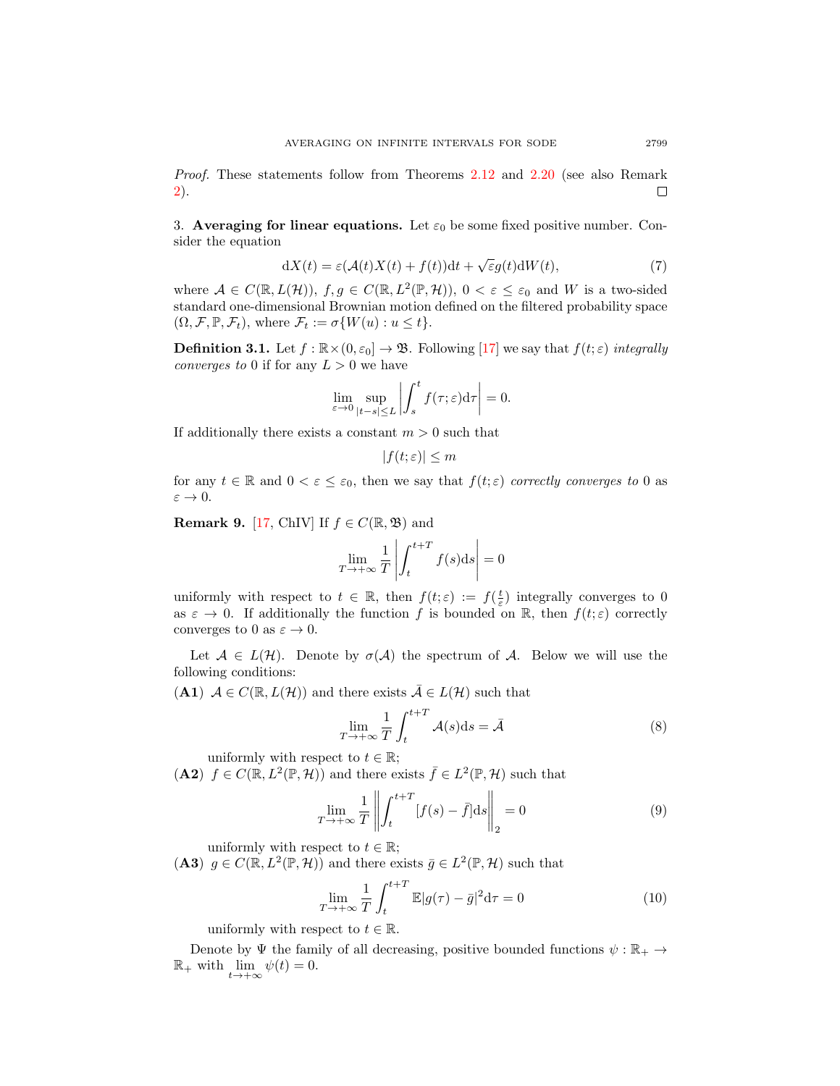Proof. These statements follow from Theorems [2.12](#page-5-4) and [2.20](#page-7-0) (see also Remark [2\)](#page-3-0). □

3. Averaging for linear equations. Let  $\varepsilon_0$  be some fixed positive number. Consider the equation

<span id="page-8-3"></span>
$$
dX(t) = \varepsilon (\mathcal{A}(t)X(t) + f(t))dt + \sqrt{\varepsilon}g(t)dW(t),
$$
\n(7)

where  $A \in C(\mathbb{R}, L(\mathcal{H}))$ ,  $f, g \in C(\mathbb{R}, L^2(\mathbb{P}, \mathcal{H}))$ ,  $0 < \varepsilon \leq \varepsilon_0$  and W is a two-sided standard one-dimensional Brownian motion defined on the filtered probability space  $(\Omega, \mathcal{F}, \mathbb{P}, \mathcal{F}_t)$ , where  $\mathcal{F}_t := \sigma\{W(u) : u \leq t\}.$ 

**Definition 3.1.** Let  $f : \mathbb{R} \times (0, \varepsilon_0] \to \mathfrak{B}$ . Following [\[17\]](#page-26-19) we say that  $f(t; \varepsilon)$  integrally *converges to* 0 if for any  $L > 0$  we have

$$
\lim_{\varepsilon \to 0} \sup_{|t-s| \le L} \left| \int_s^t f(\tau; \varepsilon) d\tau \right| = 0.
$$

If additionally there exists a constant  $m > 0$  such that

$$
|f(t; \varepsilon)| \le m
$$

for any  $t \in \mathbb{R}$  and  $0 < \varepsilon \leq \varepsilon_0$ , then we say that  $f(t; \varepsilon)$  correctly converges to 0 as  $\varepsilon \rightarrow 0.$ 

**Remark 9.** [\[17,](#page-26-19) ChIV] If  $f \in C(\mathbb{R}, \mathfrak{B})$  and

$$
\lim_{T \to +\infty} \frac{1}{T} \left| \int_{t}^{t+T} f(s) \mathrm{d}s \right| = 0
$$

uniformly with respect to  $t \in \mathbb{R}$ , then  $f(t; \varepsilon) := f(\frac{t}{\varepsilon})$  integrally converges to 0 as  $\varepsilon \to 0$ . If additionally the function f is bounded on R, then  $f(t;\varepsilon)$  correctly converges to 0 as  $\varepsilon \to 0$ .

Let  $A \in L(H)$ . Denote by  $\sigma(A)$  the spectrum of A. Below we will use the following conditions:

(A1)  $A \in C(\mathbb{R}, L(\mathcal{H}))$  and there exists  $\overline{A} \in L(\mathcal{H})$  such that

<span id="page-8-0"></span>
$$
\lim_{T \to +\infty} \frac{1}{T} \int_{t}^{t+T} \mathcal{A}(s) \mathrm{d}s = \bar{\mathcal{A}} \tag{8}
$$

uniformly with respect to  $t \in \mathbb{R}$ ;

(A2)  $f \in C(\mathbb{R}, L^2(\mathbb{P}, \mathcal{H}))$  and there exists  $\bar{f} \in L^2(\mathbb{P}, \mathcal{H})$  such that

<span id="page-8-1"></span>
$$
\lim_{T \to +\infty} \frac{1}{T} \left\| \int_{t}^{t+T} [f(s) - \bar{f}] ds \right\|_{2} = 0 \tag{9}
$$

uniformly with respect to  $t \in \mathbb{R}$ ;

(A3)  $g \in C(\mathbb{R}, L^2(\mathbb{P}, \mathcal{H}))$  and there exists  $\bar{g} \in L^2(\mathbb{P}, \mathcal{H})$  such that

<span id="page-8-2"></span>
$$
\lim_{T \to +\infty} \frac{1}{T} \int_{t}^{t+T} \mathbb{E}|g(\tau) - \bar{g}|^{2} d\tau = 0
$$
\n(10)

uniformly with respect to  $t \in \mathbb{R}$ .

Denote by  $\Psi$  the family of all decreasing, positive bounded functions  $\psi : \mathbb{R}_+ \to$  $\mathbb{R}_+$  with  $\lim_{t \to +\infty} \psi(t) = 0.$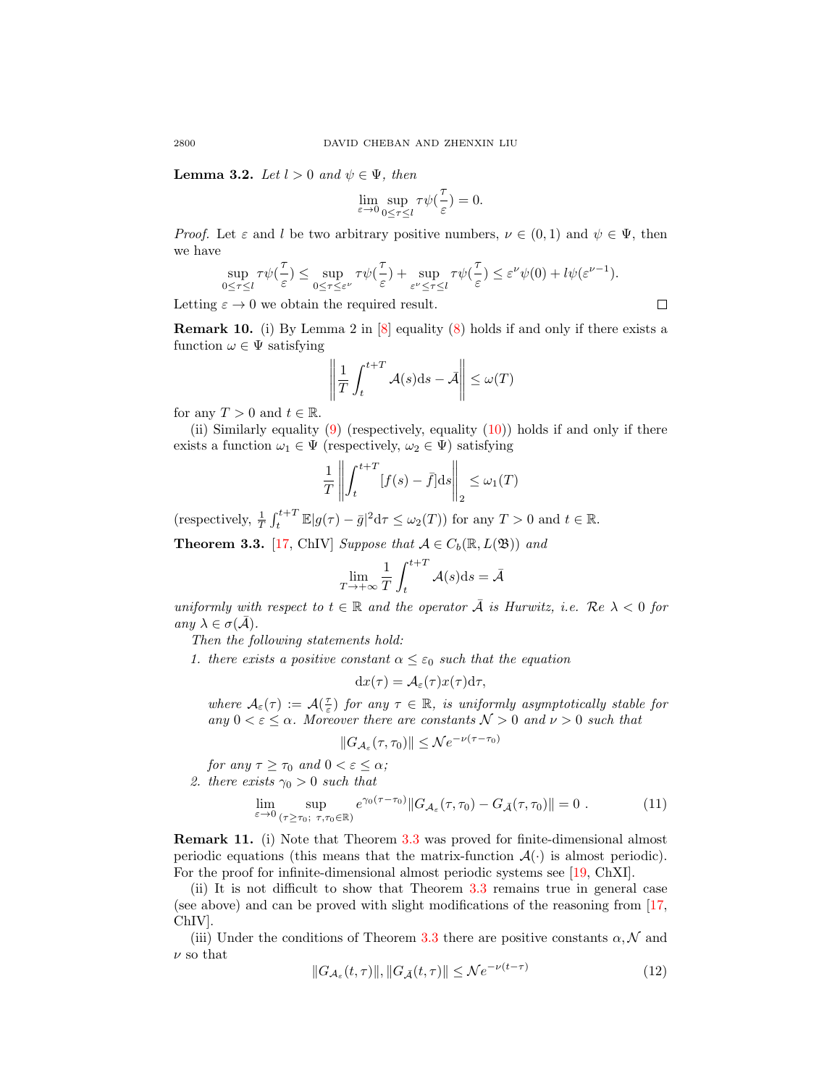**Lemma 3.2.** Let  $l > 0$  and  $\psi \in \Psi$ , then

$$
\lim_{\varepsilon \to 0} \sup_{0 \le \tau \le l} \tau \psi(\frac{\tau}{\varepsilon}) = 0.
$$

*Proof.* Let  $\varepsilon$  and l be two arbitrary positive numbers,  $\nu \in (0,1)$  and  $\psi \in \Psi$ , then we have

$$
\sup_{0\leq \tau\leq l}\tau\psi(\frac{\tau}{\varepsilon})\leq \sup_{0\leq \tau\leq \varepsilon^\nu}\tau\psi(\frac{\tau}{\varepsilon})+\sup_{\varepsilon^\nu\leq \tau\leq l}\tau\psi(\frac{\tau}{\varepsilon})\leq \varepsilon^\nu\psi(0)+l\psi(\varepsilon^{\nu-1}).
$$

Letting  $\varepsilon \to 0$  we obtain the required result.

**Remark 10.** (i) By Lemma 2 in  $[8]$  equality  $(8)$  holds if and only if there exists a function  $\omega \in \Psi$  satisfying

<span id="page-9-1"></span>
$$
\left\| \frac{1}{T} \int_{t}^{t+T} \mathcal{A}(s) \mathrm{d} s - \bar{\mathcal{A}} \right\| \leq \omega(T)
$$

for any  $T > 0$  and  $t \in \mathbb{R}$ .

(ii) Similarly equality  $(9)$  (respectively, equality  $(10)$ ) holds if and only if there exists a function  $\omega_1 \in \Psi$  (respectively,  $\omega_2 \in \Psi$ ) satisfying

$$
\frac{1}{T} \left\| \int_{t}^{t+T} [f(s) - \bar{f}] ds \right\|_{2} \le \omega_{1}(T)
$$

(respectively,  $\frac{1}{T} \int_t^{t+T} \mathbb{E}|g(\tau) - \bar{g}|^2 d\tau \leq \omega_2(T)$ ) for any  $T > 0$  and  $t \in \mathbb{R}$ .

<span id="page-9-0"></span>**Theorem 3.3.** [\[17,](#page-26-19) ChIV] Suppose that  $A \in C_b(\mathbb{R}, L(\mathfrak{B}))$  and

$$
\lim_{T \to +\infty} \frac{1}{T} \int_{t}^{t+T} \mathcal{A}(s) \mathrm{d}s = \bar{\mathcal{A}}
$$

uniformly with respect to  $t \in \mathbb{R}$  and the operator  $\overline{A}$  is Hurwitz, i.e.  $\overline{Re} \lambda < 0$  for any  $\lambda \in \sigma(\bar{\mathcal{A}})$ .

Then the following statements hold:

1. there exists a positive constant  $\alpha \leq \varepsilon_0$  such that the equation

$$
dx(\tau) = \mathcal{A}_{\varepsilon}(\tau)x(\tau)d\tau,
$$

where  $A_{\varepsilon}(\tau) := A(\frac{\tau}{\varepsilon})$  for any  $\tau \in \mathbb{R}$ , is uniformly asymptotically stable for any  $0 < \varepsilon \leq \alpha$ . Moreover there are constants  $\mathcal{N} > 0$  and  $\nu > 0$  such that

$$
||G_{\mathcal{A}_{\varepsilon}}(\tau,\tau_0)|| \leq \mathcal{N}e^{-\nu(\tau-\tau_0)}
$$

for any  $\tau \geq \tau_0$  and  $0 < \varepsilon \leq \alpha$ ;

2. there exists  $\gamma_0 > 0$  such that

$$
\lim_{\varepsilon \to 0} \sup_{(\tau \ge \tau_0; \ \tau, \tau_0 \in \mathbb{R})} e^{\gamma_0 (\tau - \tau_0)} \| G_{\mathcal{A}_{\varepsilon}}(\tau, \tau_0) - G_{\bar{\mathcal{A}}}(\tau, \tau_0) \| = 0 \ . \tag{11}
$$

<span id="page-9-3"></span>Remark 11. (i) Note that Theorem [3.3](#page-9-0) was proved for finite-dimensional almost periodic equations (this means that the matrix-function  $\mathcal{A}(\cdot)$  is almost periodic). For the proof for infinite-dimensional almost periodic systems see [\[19,](#page-26-15) ChXI].

(ii) It is not difficult to show that Theorem [3.3](#page-9-0) remains true in general case (see above) and can be proved with slight modifications of the reasoning from [\[17,](#page-26-19) ChIV].

(iii) Under the conditions of Theorem [3.3](#page-9-0) there are positive constants  $\alpha, \mathcal{N}$  and  $\nu$  so that

<span id="page-9-2"></span>
$$
||G_{\mathcal{A}_{\varepsilon}}(t,\tau)||, ||G_{\bar{\mathcal{A}}}(t,\tau)|| \leq \mathcal{N}e^{-\nu(t-\tau)}
$$
\n(12)

 $\Box$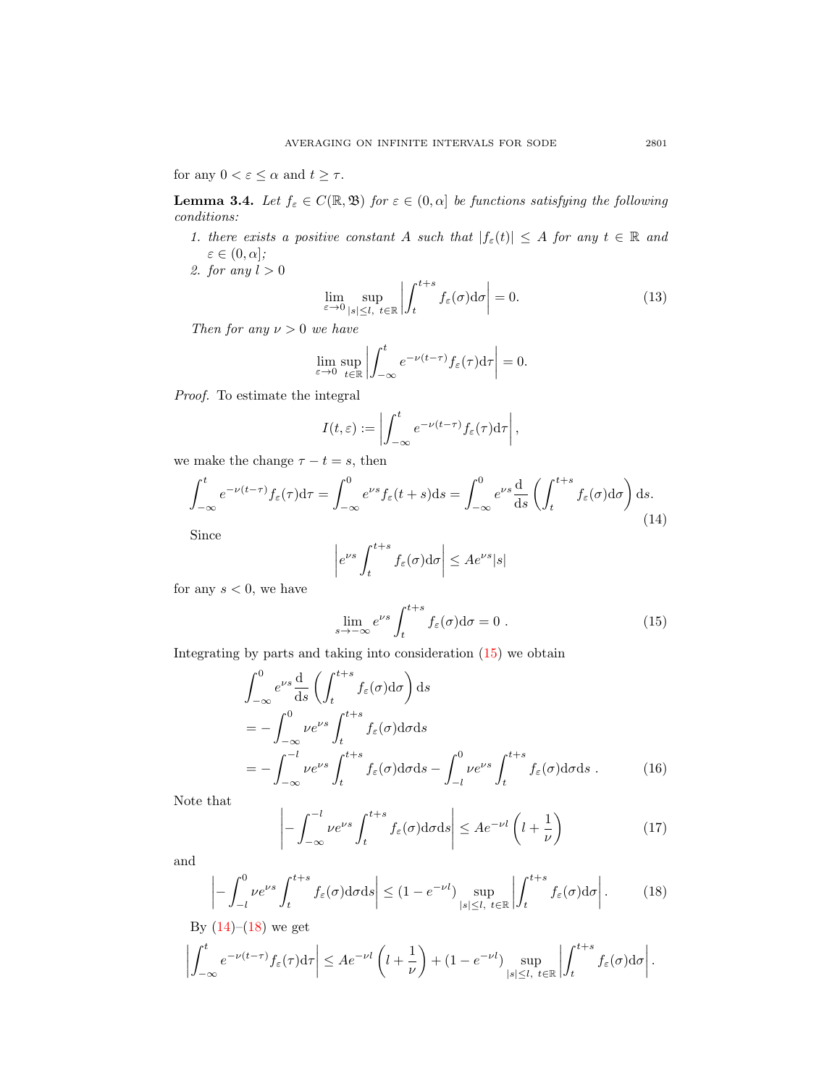for any  $0<\varepsilon\leq\alpha$  and  $t\geq\tau.$ 

<span id="page-10-3"></span>**Lemma 3.4.** Let  $f_{\varepsilon} \in C(\mathbb{R}, \mathfrak{B})$  for  $\varepsilon \in (0, \alpha]$  be functions satisfying the following conditions:

- 1. there exists a positive constant A such that  $|f_{\varepsilon}(t)| \leq A$  for any  $t \in \mathbb{R}$  and  $\varepsilon \in (0, \alpha]$ ;
- 2. for any  $l > 0$

<span id="page-10-4"></span>
$$
\lim_{\varepsilon \to 0} \sup_{|s| \le l, \ t \in \mathbb{R}} \left| \int_{t}^{t+s} f_{\varepsilon}(\sigma) d\sigma \right| = 0. \tag{13}
$$

Then for any  $\nu > 0$  we have

<span id="page-10-1"></span>
$$
\lim_{\varepsilon \to 0} \sup_{t \in \mathbb{R}} \left| \int_{-\infty}^t e^{-\nu(t-\tau)} f_{\varepsilon}(\tau) d\tau \right| = 0.
$$

Proof. To estimate the integral

$$
I(t,\varepsilon) := \left| \int_{-\infty}^t e^{-\nu(t-\tau)} f_{\varepsilon}(\tau) d\tau \right|,
$$

we make the change  $\tau - t = s$ , then

$$
\int_{-\infty}^{t} e^{-\nu(t-\tau)} f_{\varepsilon}(\tau) d\tau = \int_{-\infty}^{0} e^{\nu s} f_{\varepsilon}(t+s) ds = \int_{-\infty}^{0} e^{\nu s} \frac{d}{ds} \left( \int_{t}^{t+s} f_{\varepsilon}(\sigma) d\sigma \right) ds.
$$
\n(14)

Since

$$
\left| e^{\nu s} \int_{t}^{t+s} f_{\varepsilon}(\sigma) \mathrm{d}\sigma \right| \leq A e^{\nu s} |s|
$$

for any  $s < 0$ , we have

<span id="page-10-0"></span>
$$
\lim_{s \to -\infty} e^{\nu s} \int_{t}^{t+s} f_{\varepsilon}(\sigma) d\sigma = 0.
$$
 (15)

Integrating by parts and taking into consideration [\(15\)](#page-10-0) we obtain

$$
\int_{-\infty}^{0} e^{\nu s} \frac{d}{ds} \left( \int_{t}^{t+s} f_{\varepsilon}(\sigma) d\sigma \right) ds
$$
\n
$$
= - \int_{-\infty}^{0} \nu e^{\nu s} \int_{t}^{t+s} f_{\varepsilon}(\sigma) d\sigma ds
$$
\n
$$
= - \int_{-\infty}^{-l} \nu e^{\nu s} \int_{t}^{t+s} f_{\varepsilon}(\sigma) d\sigma ds - \int_{-l}^{0} \nu e^{\nu s} \int_{t}^{t+s} f_{\varepsilon}(\sigma) d\sigma ds . \qquad (16)
$$

Note that

$$
\left| -\int_{-\infty}^{-l} \nu e^{\nu s} \int_{t}^{t+s} f_{\varepsilon}(\sigma) d\sigma ds \right| \leq A e^{-\nu l} \left( l + \frac{1}{\nu} \right) \tag{17}
$$

and

<span id="page-10-2"></span>
$$
\left| - \int_{-l}^{0} \nu e^{\nu s} \int_{t}^{t+s} f_{\varepsilon}(\sigma) d\sigma ds \right| \le (1 - e^{-\nu l}) \sup_{|s| \le l, t \in \mathbb{R}} \left| \int_{t}^{t+s} f_{\varepsilon}(\sigma) d\sigma \right|.
$$
 (18)

By (14)–(18) we get  
\n
$$
\left| \int_{-\infty}^{t} e^{-\nu(t-\tau)} f_{\varepsilon}(\tau) d\tau \right| \leq A e^{-\nu t} \left( l + \frac{1}{\nu} \right) + (1 - e^{-\nu t}) \sup_{|s| \leq l, \ t \in \mathbb{R}} \left| \int_{t}^{t+s} f_{\varepsilon}(\sigma) d\sigma \right|
$$

 $\overline{\phantom{a}}$  $\overline{\phantom{a}}$  $\overline{\phantom{a}}$  $\mid$ .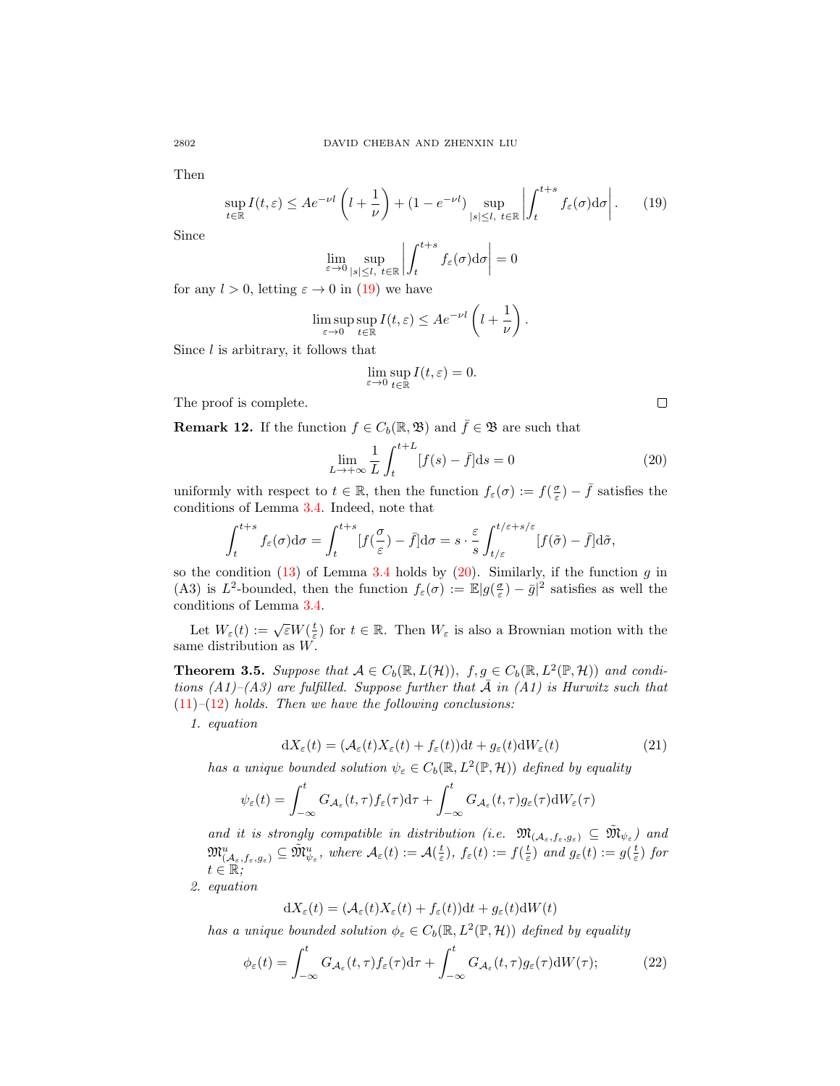Then

<span id="page-11-0"></span>
$$
\sup_{t \in \mathbb{R}} I(t,\varepsilon) \le A e^{-\nu l} \left( l + \frac{1}{\nu} \right) + (1 - e^{-\nu l}) \sup_{|s| \le l, \ t \in \mathbb{R}} \left| \int_{t}^{t+s} f_{\varepsilon}(\sigma) d\sigma \right|.
$$
 (19)

Since

<span id="page-11-1"></span>
$$
\lim_{\varepsilon \to 0} \sup_{|s| \le l, t \in \mathbb{R}} \left| \int_{t}^{t+s} f_{\varepsilon}(\sigma) d\sigma \right| = 0
$$

for any  $l > 0$ , letting  $\varepsilon \to 0$  in [\(19\)](#page-11-0) we have

$$
\limsup_{\varepsilon \to 0} \sup_{t \in \mathbb{R}} I(t, \varepsilon) \leq A e^{-\nu l} \left( l + \frac{1}{\nu} \right).
$$

Since  $l$  is arbitrary, it follows that

$$
\lim_{\varepsilon \to 0} \sup_{t \in \mathbb{R}} I(t, \varepsilon) = 0.
$$

The proof is complete.

**Remark 12.** If the function  $f \in C_b(\mathbb{R}, \mathfrak{B})$  and  $\overline{f} \in \mathfrak{B}$  are such that

$$
\lim_{L \to +\infty} \frac{1}{L} \int_{t}^{t+L} [f(s) - \bar{f}] ds = 0
$$
\n(20)

 $\Box$ 

uniformly with respect to  $t \in \mathbb{R}$ , then the function  $f_{\varepsilon}(\sigma) := f(\frac{\sigma}{\varepsilon}) - \bar{f}$  satisfies the conditions of Lemma [3.4.](#page-10-3) Indeed, note that

$$
\int_{t}^{t+s} f_{\varepsilon}(\sigma) d\sigma = \int_{t}^{t+s} [f(\frac{\sigma}{\varepsilon}) - \bar{f}] d\sigma = s \cdot \frac{\varepsilon}{s} \int_{t/\varepsilon}^{t/\varepsilon + s/\varepsilon} [f(\tilde{\sigma}) - \bar{f}] d\tilde{\sigma},
$$

so the condition  $(13)$  of Lemma [3.4](#page-10-3) holds by  $(20)$ . Similarly, if the function g in (A3) is  $L^2$ -bounded, then the function  $f_\varepsilon(\sigma) := \mathbb{E}|g(\frac{\sigma}{\varepsilon}) - \bar{g}|^2$  satisfies as well the conditions of Lemma [3.4.](#page-10-3)

Let  $W_{\varepsilon}(t) := \sqrt{\varepsilon} W(\frac{t}{\varepsilon})$  for  $t \in \mathbb{R}$ . Then  $W_{\varepsilon}$  is also a Brownian motion with the same distribution as  $W$ .

<span id="page-11-4"></span>**Theorem 3.5.** Suppose that  $A \in C_b(\mathbb{R}, L(\mathcal{H}))$ ,  $f, g \in C_b(\mathbb{R}, L^2(\mathbb{P}, \mathcal{H}))$  and conditions  $(A1)$ – $(A3)$  are fulfilled. Suppose further that  $\tilde{A}$  in  $(A1)$  is Hurwitz such that  $(11)$ – $(12)$  holds. Then we have the following conclusions:

1. equation

<span id="page-11-3"></span>
$$
dX_{\varepsilon}(t) = (\mathcal{A}_{\varepsilon}(t)X_{\varepsilon}(t) + f_{\varepsilon}(t))dt + g_{\varepsilon}(t)dW_{\varepsilon}(t)
$$
\n(21)

has a unique bounded solution  $\psi_{\varepsilon} \in C_b(\mathbb{R}, L^2(\mathbb{P}, \mathcal{H}))$  defined by equality

<span id="page-11-2"></span>
$$
\psi_{\varepsilon}(t) = \int_{-\infty}^{t} G_{\mathcal{A}_{\varepsilon}}(t,\tau) f_{\varepsilon}(\tau) d\tau + \int_{-\infty}^{t} G_{\mathcal{A}_{\varepsilon}}(t,\tau) g_{\varepsilon}(\tau) dW_{\varepsilon}(\tau)
$$

and it is strongly compatible in distribution (i.e.  $\mathfrak{M}_{(\mathcal{A}_{\varepsilon},f_{\varepsilon},g_{\varepsilon})} \subseteq \widetilde{\mathfrak{M}}_{\psi_{\varepsilon}}$ ) and  $\psi_{\varepsilon}$  $\mathfrak{M}_{(\mathcal{A}_{\varepsilon},f_{\varepsilon},g_{\varepsilon})}^{u} \subseteq \tilde{\mathfrak{M}}_{\psi_{\varepsilon}}^{u}, \text{ where } \mathcal{A}_{\varepsilon}(t) := \mathcal{A}(\frac{t}{\varepsilon}), \text{ } f_{\varepsilon}(t) := f(\frac{t}{\varepsilon}) \text{ and } g_{\varepsilon}(t) := g(\frac{t}{\varepsilon}) \text{ for }$  $t\in\mathbb{R};$ 

2. equation

$$
dX_{\varepsilon}(t) = (\mathcal{A}_{\varepsilon}(t)X_{\varepsilon}(t) + f_{\varepsilon}(t))dt + g_{\varepsilon}(t)dW(t)
$$

has a unique bounded solution  $\phi_{\varepsilon} \in C_b(\mathbb{R}, L^2(\mathbb{P}, \mathcal{H}))$  defined by equality

$$
\phi_{\varepsilon}(t) = \int_{-\infty}^{t} G_{\mathcal{A}_{\varepsilon}}(t,\tau) f_{\varepsilon}(\tau) d\tau + \int_{-\infty}^{t} G_{\mathcal{A}_{\varepsilon}}(t,\tau) g_{\varepsilon}(\tau) dW(\tau); \tag{22}
$$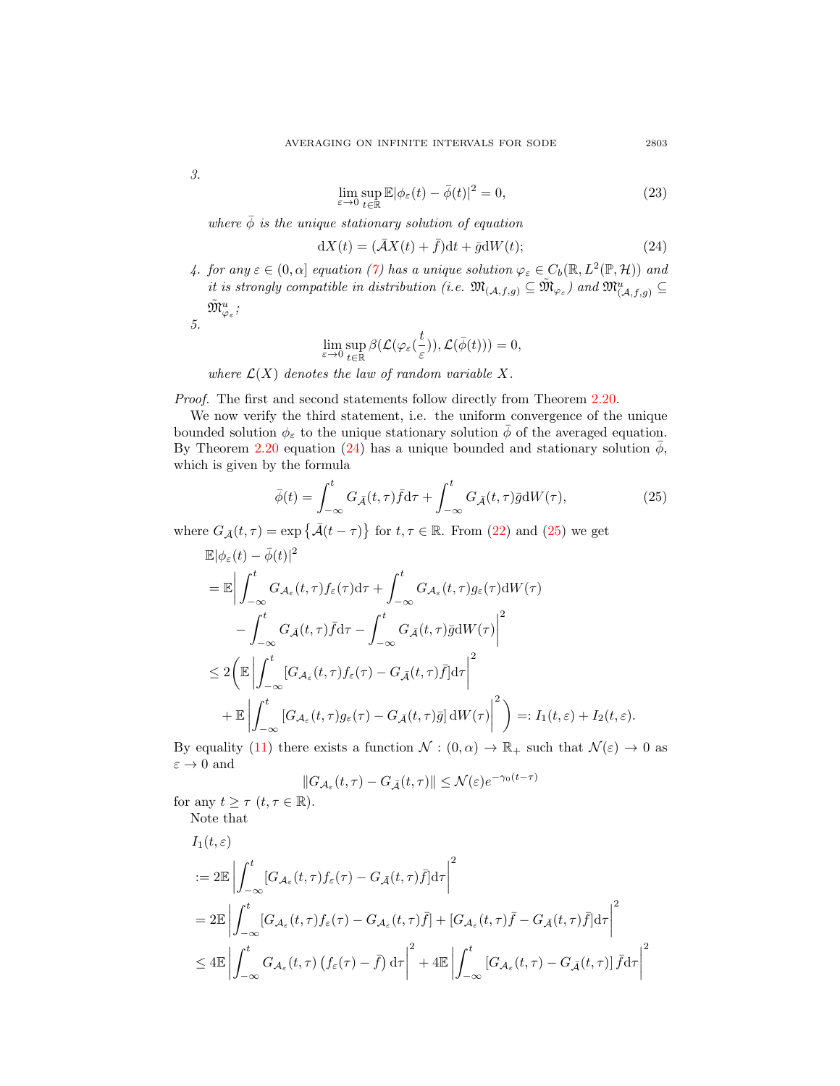3.

<span id="page-12-3"></span>
$$
\lim_{\varepsilon \to 0} \sup_{t \in \mathbb{R}} \mathbb{E} |\phi_{\varepsilon}(t) - \bar{\phi}(t)|^2 = 0,
$$
\n(23)

where  $\bar{\phi}$  is the unique stationary solution of equation

<span id="page-12-0"></span>
$$
dX(t) = (\bar{A}X(t) + \bar{f})dt + \bar{g}dW(t); \qquad (24)
$$

4. for any  $\varepsilon \in (0, \alpha]$  equation [\(7\)](#page-8-3) has a unique solution  $\varphi_{\varepsilon} \in C_b(\mathbb{R}, L^2(\mathbb{P}, \mathcal{H}))$  and it is strongly compatible in distribution (i.e.  $\mathfrak{M}_{(A,f,g)} \subseteq \widetilde{\mathfrak{M}}_{\varphi_{\varepsilon}}$ ) and  $\mathfrak{M}_{(A,f,g)}^u \subseteq$  $\tilde {\mathfrak M}^u_{\varphi_\varepsilon}$  ;

5.

<span id="page-12-1"></span>
$$
\lim_{\varepsilon \to 0} \sup_{t \in \mathbb{R}} \beta(\mathcal{L}(\varphi_{\varepsilon}(\frac{t}{\varepsilon})), \mathcal{L}(\bar{\phi}(t))) = 0,
$$

where  $\mathcal{L}(X)$  denotes the law of random variable X.

Proof. The first and second statements follow directly from Theorem [2.20.](#page-7-0)

We now verify the third statement, i.e. the uniform convergence of the unique bounded solution  $\phi_{\varepsilon}$  to the unique stationary solution  $\phi$  of the averaged equation. By Theorem [2.20](#page-7-0) equation [\(24\)](#page-12-0) has a unique bounded and stationary solution  $\phi$ , which is given by the formula

$$
\bar{\phi}(t) = \int_{-\infty}^{t} G_{\bar{\mathcal{A}}}(t,\tau) \bar{f} d\tau + \int_{-\infty}^{t} G_{\bar{\mathcal{A}}}(t,\tau) \bar{g} dW(\tau), \tag{25}
$$

where  $G_{\bar{\mathcal{A}}}(t,\tau) = \exp \{ \bar{\mathcal{A}}(t-\tau) \}$  for  $t, \tau \in \mathbb{R}$ . From [\(22\)](#page-11-2) and [\(25\)](#page-12-1) we get

$$
\mathbb{E}|\phi_{\varepsilon}(t) - \bar{\phi}(t)|^{2}
$$
\n
$$
= \mathbb{E} \Big| \int_{-\infty}^{t} G_{\mathcal{A}_{\varepsilon}}(t, \tau) f_{\varepsilon}(\tau) d\tau + \int_{-\infty}^{t} G_{\mathcal{A}_{\varepsilon}}(t, \tau) g_{\varepsilon}(\tau) dW(\tau) - \int_{-\infty}^{t} G_{\bar{\mathcal{A}}}(t, \tau) \bar{f} d\tau - \int_{-\infty}^{t} G_{\bar{\mathcal{A}}}(t, \tau) \bar{g} dW(\tau) \Big|^{2}
$$
\n
$$
\leq 2 \Big( \mathbb{E} \left| \int_{-\infty}^{t} [G_{\mathcal{A}_{\varepsilon}}(t, \tau) f_{\varepsilon}(\tau) - G_{\bar{\mathcal{A}}}(t, \tau) \bar{f}] d\tau \right|^{2}
$$
\n
$$
+ \mathbb{E} \left| \int_{-\infty}^{t} [G_{\mathcal{A}_{\varepsilon}}(t, \tau) g_{\varepsilon}(\tau) - G_{\bar{\mathcal{A}}}(t, \tau) \bar{g}] dW(\tau) \right|^{2} \Big) =: I_{1}(t, \varepsilon) + I_{2}(t, \varepsilon).
$$

By equality [\(11\)](#page-9-1) there exists a function  $\mathcal{N} : (0, \alpha) \to \mathbb{R}_+$  such that  $\mathcal{N}(\varepsilon) \to 0$  as  $\varepsilon \to 0$  and

<span id="page-12-2"></span>
$$
||G_{\mathcal{A}_{\varepsilon}}(t,\tau) - G_{\bar{\mathcal{A}}}(t,\tau)|| \le \mathcal{N}(\varepsilon) e^{-\gamma_0(t-\tau)}
$$

for any  $t \geq \tau$   $(t, \tau \in \mathbb{R})$ . Note that

$$
I_{1}(t,\varepsilon)
$$
  
\n
$$
:= 2\mathbb{E} \left| \int_{-\infty}^{t} [G_{\mathcal{A}_{\varepsilon}}(t,\tau) f_{\varepsilon}(\tau) - G_{\bar{\mathcal{A}}}(t,\tau) \bar{f}] d\tau \right|^{2}
$$
  
\n
$$
= 2\mathbb{E} \left| \int_{-\infty}^{t} [G_{\mathcal{A}_{\varepsilon}}(t,\tau) f_{\varepsilon}(\tau) - G_{\mathcal{A}_{\varepsilon}}(t,\tau) \bar{f}] + [G_{\mathcal{A}_{\varepsilon}}(t,\tau) \bar{f} - G_{\bar{\mathcal{A}}}(t,\tau) \bar{f}] d\tau \right|^{2}
$$
  
\n
$$
\leq 4\mathbb{E} \left| \int_{-\infty}^{t} G_{\mathcal{A}_{\varepsilon}}(t,\tau) (f_{\varepsilon}(\tau) - \bar{f}) d\tau \right|^{2} + 4\mathbb{E} \left| \int_{-\infty}^{t} [G_{\mathcal{A}_{\varepsilon}}(t,\tau) - G_{\bar{\mathcal{A}}}(t,\tau)] \bar{f} d\tau \right|^{2}
$$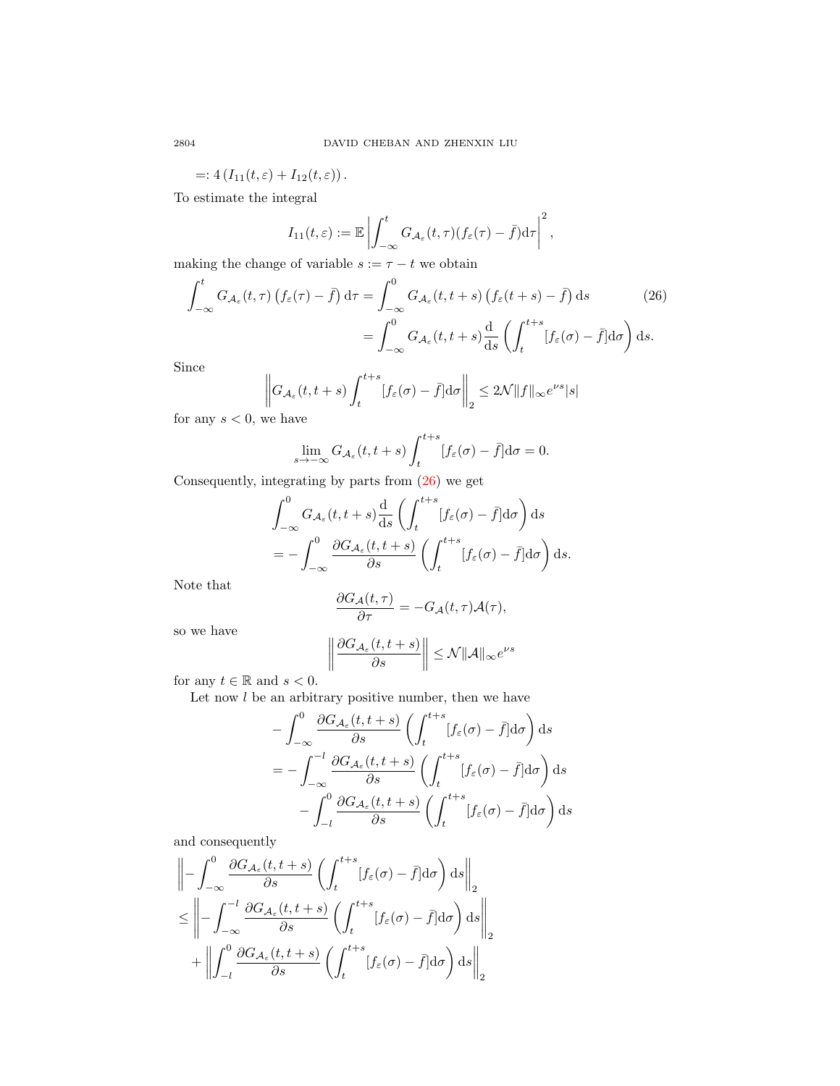=:  $4(I_{11}(t, \varepsilon) + I_{12}(t, \varepsilon))$ .

To estimate the integral

$$
I_{11}(t,\varepsilon) := \mathbb{E} \left| \int_{-\infty}^t G_{\mathcal{A}_{\varepsilon}}(t,\tau) (f_{\varepsilon}(\tau) - \bar{f}) d\tau \right|^2,
$$

making the change of variable  $s := \tau - t$  we obtain

$$
\int_{-\infty}^{t} G_{\mathcal{A}_{\varepsilon}}(t,\tau) \left( f_{\varepsilon}(\tau) - \bar{f} \right) d\tau = \int_{-\infty}^{0} G_{\mathcal{A}_{\varepsilon}}(t,t+s) \left( f_{\varepsilon}(t+s) - \bar{f} \right) ds \qquad (26)
$$

$$
= \int_{-\infty}^{0} G_{\mathcal{A}_{\varepsilon}}(t,t+s) \frac{d}{ds} \left( \int_{t}^{t+s} \left[ f_{\varepsilon}(\sigma) - \bar{f} \right] d\sigma \right) ds.
$$

Since

<span id="page-13-0"></span>
$$
\left\| G_{\mathcal{A}_{\varepsilon}}(t, t+s) \int_{t}^{t+s} [f_{\varepsilon}(\sigma) - \bar{f}] d\sigma \right\|_{2} \le 2\mathcal{N} \|f\|_{\infty} e^{\nu s} |s|
$$

for any  $s < 0$ , we have

$$
\lim_{s \to -\infty} G_{\mathcal{A}_{\varepsilon}}(t, t+s) \int_{t}^{t+s} [f_{\varepsilon}(\sigma) - \bar{f}] d\sigma = 0.
$$

Consequently, integrating by parts from [\(26\)](#page-12-2) we get

$$
\int_{-\infty}^{0} G_{\mathcal{A}_{\varepsilon}}(t, t + s) \frac{d}{ds} \left( \int_{t}^{t + s} [f_{\varepsilon}(\sigma) - \bar{f}] d\sigma \right) ds
$$
  
= 
$$
- \int_{-\infty}^{0} \frac{\partial G_{\mathcal{A}_{\varepsilon}}(t, t + s)}{\partial s} \left( \int_{t}^{t + s} [f_{\varepsilon}(\sigma) - \bar{f}] d\sigma \right) ds.
$$

Note that

$$
\frac{\partial G_{\mathcal{A}}(t,\tau)}{\partial \tau} = -G_{\mathcal{A}}(t,\tau)\mathcal{A}(\tau),
$$

so we have

$$
\left\|\frac{\partial G_{\mathcal{A}_{\varepsilon}}(t,t+s)}{\partial s}\right\|\leq \mathcal{N}\|\mathcal{A}\|_{\infty}e^{\nu s}
$$

for any  $t \in \mathbb{R}$  and  $s < 0$ .

Let now  $l$  be an arbitrary positive number, then we have

$$
-\int_{-\infty}^{0} \frac{\partial G_{\mathcal{A}_{\varepsilon}}(t, t+s)}{\partial s} \left( \int_{t}^{t+s} [f_{\varepsilon}(\sigma) - \bar{f}] d\sigma \right) ds
$$
  

$$
= -\int_{-\infty}^{-l} \frac{\partial G_{\mathcal{A}_{\varepsilon}}(t, t+s)}{\partial s} \left( \int_{t}^{t+s} [f_{\varepsilon}(\sigma) - \bar{f}] d\sigma \right) ds
$$
  

$$
-\int_{-l}^{0} \frac{\partial G_{\mathcal{A}_{\varepsilon}}(t, t+s)}{\partial s} \left( \int_{t}^{t+s} [f_{\varepsilon}(\sigma) - \bar{f}] d\sigma \right) ds
$$

and consequently

$$
\left\| - \int_{-\infty}^{0} \frac{\partial G_{\mathcal{A}_{\varepsilon}}(t, t+s)}{\partial s} \left( \int_{t}^{t+s} [f_{\varepsilon}(\sigma) - \bar{f}] d\sigma \right) ds \right\|_{2}
$$
  

$$
\leq \left\| - \int_{-\infty}^{-l} \frac{\partial G_{\mathcal{A}_{\varepsilon}}(t, t+s)}{\partial s} \left( \int_{t}^{t+s} [f_{\varepsilon}(\sigma) - \bar{f}] d\sigma \right) ds \right\|_{2}
$$
  

$$
+ \left\| \int_{-l}^{0} \frac{\partial G_{\mathcal{A}_{\varepsilon}}(t, t+s)}{\partial s} \left( \int_{t}^{t+s} [f_{\varepsilon}(\sigma) - \bar{f}] d\sigma \right) ds \right\|_{2}
$$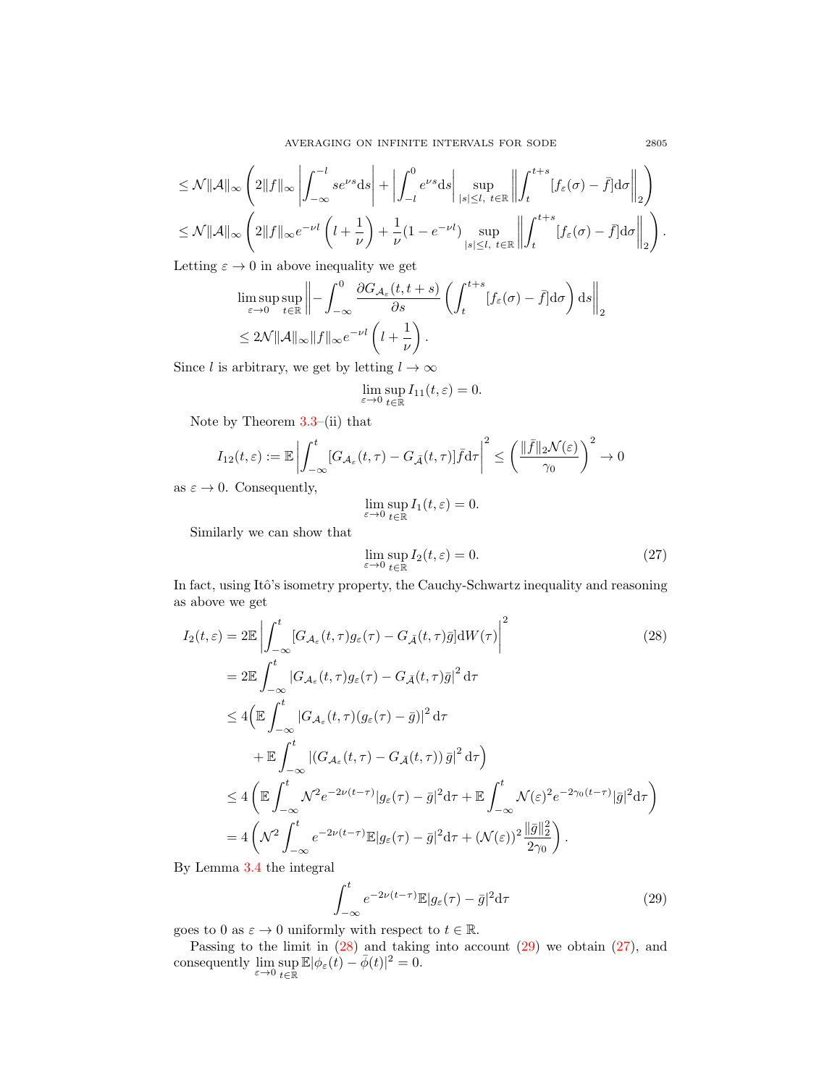$$
\leq \mathcal{N} \|\mathcal{A}\|_{\infty} \left( 2\|f\|_{\infty} \left| \int_{-\infty}^{-l} s e^{\nu s} \mathrm{d}s \right| + \left| \int_{-l}^{0} e^{\nu s} \mathrm{d}s \right| \sup_{|s| \leq l, t \in \mathbb{R}} \left\| \int_{t}^{t+s} [f_{\varepsilon}(\sigma) - \bar{f}] \mathrm{d}\sigma \right\|_{2} \right)
$$
  

$$
\leq \mathcal{N} \|\mathcal{A}\|_{\infty} \left( 2\|f\|_{\infty} e^{-\nu l} \left( l + \frac{1}{\nu} \right) + \frac{1}{\nu} (1 - e^{-\nu l}) \sup_{|s| \leq l, t \in \mathbb{R}} \left\| \int_{t}^{t+s} [f_{\varepsilon}(\sigma) - \bar{f}] \mathrm{d}\sigma \right\|_{2} \right).
$$

Letting  $\varepsilon \to 0$  in above inequality we get

$$
\limsup_{\varepsilon \to 0} \sup_{t \in \mathbb{R}} \left\| - \int_{-\infty}^{0} \frac{\partial G_{\mathcal{A}_{\varepsilon}}(t, t + s)}{\partial s} \left( \int_{t}^{t + s} [f_{\varepsilon}(\sigma) - \bar{f}] d\sigma \right) ds \right\|_{2} \n\leq 2\mathcal{N} \|\mathcal{A}\|_{\infty} \|f\|_{\infty} e^{-\nu l} \left( l + \frac{1}{\nu} \right).
$$

Since l is arbitrary, we get by letting  $l \to \infty$ 

$$
\lim_{\varepsilon \to 0} \sup_{t \in \mathbb{R}} I_{11}(t, \varepsilon) = 0.
$$

Note by Theorem [3.3–](#page-9-0)(ii) that

$$
I_{12}(t,\varepsilon) := \mathbb{E} \left| \int_{-\infty}^t [G_{\mathcal{A}_{\varepsilon}}(t,\tau) - G_{\bar{\mathcal{A}}}(t,\tau)] \bar{f} d\tau \right|^2 \le \left( \frac{\|\bar{f}\|_2 \mathcal{N}(\varepsilon)}{\gamma_0} \right)^2 \to 0
$$

as  $\varepsilon \to 0$ . Consequently,

$$
\lim_{\varepsilon \to 0} \sup_{t \in \mathbb{R}} I_1(t, \varepsilon) = 0.
$$

Similarly we can show that

<span id="page-14-0"></span>
$$
\lim_{\varepsilon \to 0} \sup_{t \in \mathbb{R}} I_2(t, \varepsilon) = 0. \tag{27}
$$

In fact, using Itô's isometry property, the Cauchy-Schwartz inequality and reasoning as above we get

$$
I_2(t,\varepsilon) = 2\mathbb{E} \left| \int_{-\infty}^t [G_{\mathcal{A}_{\varepsilon}}(t,\tau)g_{\varepsilon}(\tau) - G_{\bar{\mathcal{A}}}(t,\tau)\bar{g}]dW(\tau) \right|^2 \qquad (28)
$$
  
\n
$$
= 2\mathbb{E} \int_{-\infty}^t |G_{\mathcal{A}_{\varepsilon}}(t,\tau)g_{\varepsilon}(\tau) - G_{\bar{\mathcal{A}}}(t,\tau)\bar{g}|^2 d\tau
$$
  
\n
$$
\leq 4 \left( \mathbb{E} \int_{-\infty}^t |G_{\mathcal{A}_{\varepsilon}}(t,\tau)(g_{\varepsilon}(\tau) - \bar{g})|^2 d\tau \right)
$$
  
\n
$$
+ \mathbb{E} \int_{-\infty}^t |(G_{\mathcal{A}_{\varepsilon}}(t,\tau) - G_{\bar{\mathcal{A}}}(t,\tau))\bar{g}|^2 d\tau \right)
$$
  
\n
$$
\leq 4 \left( \mathbb{E} \int_{-\infty}^t \mathcal{N}^2 e^{-2\nu(t-\tau)} |g_{\varepsilon}(\tau) - \bar{g}|^2 d\tau + \mathbb{E} \int_{-\infty}^t \mathcal{N}(\varepsilon)^2 e^{-2\gamma_0(t-\tau)} |\bar{g}|^2 d\tau \right)
$$
  
\n
$$
= 4 \left( \mathcal{N}^2 \int_{-\infty}^t e^{-2\nu(t-\tau)} \mathbb{E} |g_{\varepsilon}(\tau) - \bar{g}|^2 d\tau + (\mathcal{N}(\varepsilon))^2 \frac{\|\bar{g}\|_2^2}{2\gamma_0} \right).
$$

By Lemma [3.4](#page-10-3) the integral

<span id="page-14-1"></span>
$$
\int_{-\infty}^{t} e^{-2\nu(t-\tau)} \mathbb{E}|g_{\varepsilon}(\tau) - \bar{g}|^{2} \mathrm{d}\tau \tag{29}
$$

goes to 0 as  $\varepsilon \to 0$  uniformly with respect to  $t \in \mathbb{R}$ .

Passing to the limit in [\(28\)](#page-14-0) and taking into account [\(29\)](#page-14-1) we obtain [\(27\)](#page-13-0), and consequently  $\lim_{\varepsilon \to 0} \sup_{t \in \mathbb{R}} \mathbb{E} |\phi_{\varepsilon}(t) - \overline{\phi}(t)|^2 = 0.$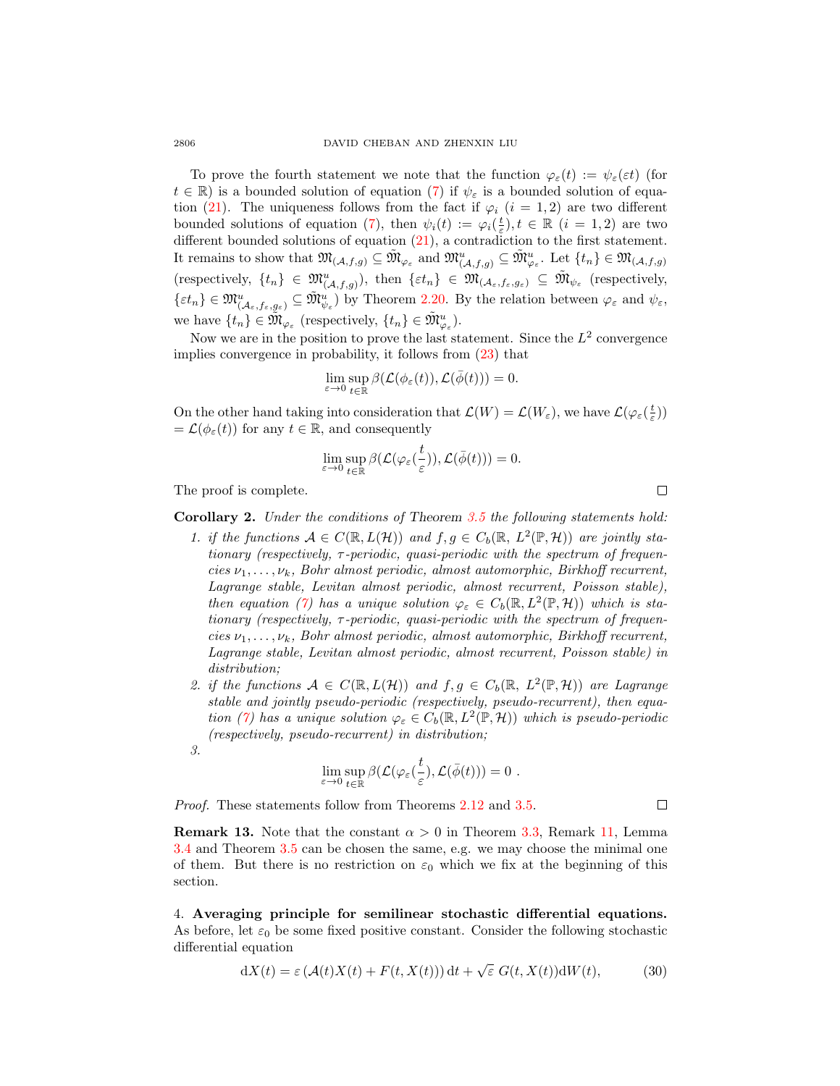To prove the fourth statement we note that the function  $\varphi_{\varepsilon}(t) := \psi_{\varepsilon}(\varepsilon t)$  (for  $t \in \mathbb{R}$ ) is a bounded solution of equation [\(7\)](#page-8-3) if  $\psi_{\varepsilon}$  is a bounded solution of equa-tion [\(21\)](#page-11-3). The uniqueness follows from the fact if  $\varphi_i$  (i = 1, 2) are two different bounded solutions of equation [\(7\)](#page-8-3), then  $\psi_i(t) := \varphi_i(\frac{t}{\varepsilon}), t \in \mathbb{R}$   $(i = 1, 2)$  are two different bounded solutions of equation [\(21\)](#page-11-3), a contradiction to the first statement. It remains to show that  $\mathfrak{M}_{(A,f,g)} \subseteq \tilde{\mathfrak{M}}_{\varphi_{\varepsilon}}^u$  and  $\mathfrak{M}_{(A,f,g)}^u \subseteq \tilde{\mathfrak{M}}_{\varphi_{\varepsilon}}^u$ . Let  $\{t_n\} \in \mathfrak{M}_{(A,f,g)}$ (respectively,  $\{t_n\} \in \mathfrak{M}^u_{(\mathcal{A},f,g)}$ ), then  $\{\varepsilon t_n\} \in \mathfrak{M}_{(\mathcal{A}_{\varepsilon},f_{\varepsilon},g_{\varepsilon})} \subseteq \tilde{\mathfrak{M}}_{\psi_{\varepsilon}}$  (respectively,  $\{\varepsilon t_n\} \in \mathfrak{M}_{(\mathcal{A}_{\varepsilon},f_{\varepsilon},g_{\varepsilon})}^u \subseteq \widetilde{\mathfrak{M}}_{\psi_{\varepsilon}}^u$  by Theorem [2.20.](#page-7-0) By the relation between  $\varphi_{\varepsilon}$  and  $\psi_{\varepsilon}$ , we have  $\{t_n\} \in \tilde{\mathfrak{M}}_{\varphi_{\varepsilon}}$  (respectively,  $\{t_n\} \in \tilde{\mathfrak{M}}_{\varphi_{\varepsilon}}^u$ ).

Now we are in the position to prove the last statement. Since the  $L^2$  convergence implies convergence in probability, it follows from [\(23\)](#page-12-3) that

$$
\lim_{\varepsilon\to 0}\sup_{t\in\mathbb{R}}\beta(\mathcal{L}(\phi_{\varepsilon}(t)),\mathcal{L}(\bar{\phi}(t)))=0.
$$

On the other hand taking into consideration that  $\mathcal{L}(W) = \mathcal{L}(W_{\varepsilon})$ , we have  $\mathcal{L}(\varphi_{\varepsilon}(\frac{t}{\varepsilon}))$  $=\mathcal{L}(\phi_{\varepsilon}(t))$  for any  $t \in \mathbb{R}$ , and consequently

$$
\lim_{\varepsilon \to 0} \sup_{t \in \mathbb{R}} \beta(\mathcal{L}(\varphi_{\varepsilon}(\frac{t}{\varepsilon})), \mathcal{L}(\bar{\phi}(t))) = 0.
$$

The proof is complete.

Corollary 2. Under the conditions of Theorem [3.5](#page-11-4) the following statements hold:

- 1. if the functions  $A \in C(\mathbb{R}, L(\mathcal{H}))$  and  $f, g \in C_b(\mathbb{R}, L^2(\mathbb{P}, \mathcal{H}))$  are jointly stationary (respectively,  $\tau$ -periodic, quasi-periodic with the spectrum of frequencies  $\nu_1, \ldots, \nu_k$ , Bohr almost periodic, almost automorphic, Birkhoff recurrent, Lagrange stable, Levitan almost periodic, almost recurrent, Poisson stable), then equation [\(7\)](#page-8-3) has a unique solution  $\varphi_{\varepsilon} \in C_b(\mathbb{R}, L^2(\mathbb{P}, \mathcal{H}))$  which is stationary (respectively,  $\tau$ -periodic, quasi-periodic with the spectrum of frequencies  $\nu_1, \ldots, \nu_k$ , Bohr almost periodic, almost automorphic, Birkhoff recurrent, Lagrange stable, Levitan almost periodic, almost recurrent, Poisson stable) in distribution;
- 2. if the functions  $A \in C(\mathbb{R}, L(\mathcal{H}))$  and  $f, g \in C_b(\mathbb{R}, L^2(\mathbb{P}, \mathcal{H}))$  are Lagrange stable and jointly pseudo-periodic (respectively, pseudo-recurrent), then equa-tion [\(7\)](#page-8-3) has a unique solution  $\varphi_{\varepsilon} \in C_b(\mathbb{R}, L^2(\mathbb{P}, \mathcal{H}))$  which is pseudo-periodic (respectively, pseudo-recurrent) in distribution;
- 3.

$$
\lim_{\varepsilon \to 0} \sup_{t \in \mathbb{R}} \beta(\mathcal{L}(\varphi_{\varepsilon}(\frac{t}{\varepsilon}), \mathcal{L}(\bar{\phi}(t))) = 0.
$$

Proof. These statements follow from Theorems [2.12](#page-5-4) and [3.5.](#page-11-4)

**Remark 13.** Note that the constant  $\alpha > 0$  in Theorem [3.3,](#page-9-0) Remark [11,](#page-9-3) Lemma [3.4](#page-10-3) and Theorem [3.5](#page-11-4) can be chosen the same, e.g. we may choose the minimal one of them. But there is no restriction on  $\varepsilon_0$  which we fix at the beginning of this section.

4. Averaging principle for semilinear stochastic differential equations. As before, let  $\varepsilon_0$  be some fixed positive constant. Consider the following stochastic differential equation

<span id="page-15-0"></span>
$$
dX(t) = \varepsilon \left( \mathcal{A}(t)X(t) + F(t, X(t)) \right) dt + \sqrt{\varepsilon} \ G(t, X(t)) dW(t), \tag{30}
$$

 $\Box$ 

 $\Box$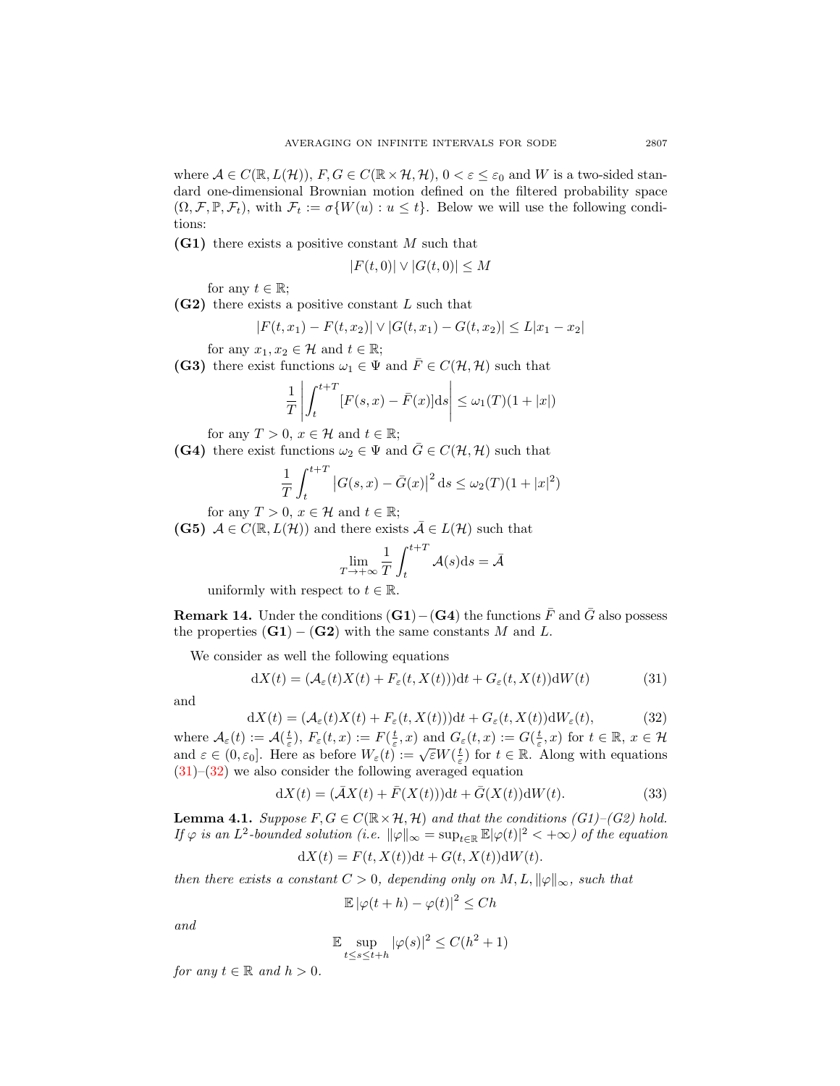where  $A \in C(\mathbb{R}, L(\mathcal{H}))$ ,  $F, G \in C(\mathbb{R} \times \mathcal{H}, \mathcal{H})$ ,  $0 < \varepsilon \leq \varepsilon_0$  and W is a two-sided standard one-dimensional Brownian motion defined on the filtered probability space  $(\Omega, \mathcal{F}, \mathbb{P}, \mathcal{F}_t)$ , with  $\mathcal{F}_t := \sigma\{W(u) : u \leq t\}$ . Below we will use the following conditions:

 $(G1)$  there exists a positive constant M such that

$$
|F(t,0)| \vee |G(t,0)| \le M
$$

for any  $t \in \mathbb{R}$ ;

 $(G2)$  there exists a positive constant L such that

$$
|F(t, x_1) - F(t, x_2)| \vee |G(t, x_1) - G(t, x_2)| \le L|x_1 - x_2|
$$

for any  $x_1, x_2 \in \mathcal{H}$  and  $t \in \mathbb{R}$ ;

(G3) there exist functions  $\omega_1 \in \Psi$  and  $\overline{F} \in C(\mathcal{H}, \mathcal{H})$  such that

$$
\frac{1}{T} \left| \int_{t}^{t+T} [F(s,x) - \bar{F}(x)] \mathrm{d}s \right| \leq \omega_1(T)(1+|x|)
$$

for any  $T > 0$ ,  $x \in \mathcal{H}$  and  $t \in \mathbb{R}$ ;

(G4) there exist functions  $\omega_2 \in \Psi$  and  $\bar{G} \in C(\mathcal{H}, \mathcal{H})$  such that

$$
\frac{1}{T} \int_{t}^{t+T} |G(s,x) - \bar{G}(x)|^2 ds \le \omega_2(T)(1+|x|^2)
$$

for any  $T > 0$ ,  $x \in \mathcal{H}$  and  $t \in \mathbb{R}$ ;

(G5)  $A \in C(\mathbb{R}, L(\mathcal{H}))$  and there exists  $\overline{A} \in L(\mathcal{H})$  such that

$$
\lim_{T \to +\infty} \frac{1}{T} \int_{t}^{t+T} \mathcal{A}(s) \mathrm{d}s = \bar{\mathcal{A}}
$$

uniformly with respect to  $t \in \mathbb{R}$ .

**Remark 14.** Under the conditions  $(G1) - (G4)$  the functions  $\overline{F}$  and  $\overline{G}$  also possess the properties  $(G1) - (G2)$  with the same constants M and L.

We consider as well the following equations

<span id="page-16-0"></span>
$$
dX(t) = (\mathcal{A}_{\varepsilon}(t)X(t) + F_{\varepsilon}(t, X(t)))dt + G_{\varepsilon}(t, X(t))dW(t)
$$
\n(31)

and

<span id="page-16-1"></span>
$$
dX(t) = (\mathcal{A}_{\varepsilon}(t)X(t) + F_{\varepsilon}(t, X(t)))dt + G_{\varepsilon}(t, X(t))dW_{\varepsilon}(t),
$$
\n(32)

where  $\mathcal{A}_{\varepsilon}(t) := \mathcal{A}(\frac{t}{\varepsilon}), F_{\varepsilon}(t,x) := F(\frac{t}{\varepsilon},x)$  and  $G_{\varepsilon}(t,x) := G(\frac{t}{\varepsilon},x)$  for  $t \in \mathbb{R}, x \in \mathcal{H}$ where  $A_{\varepsilon}(t) := A(\frac{\varepsilon}{\varepsilon}), T_{\varepsilon}(t, t) := T(\frac{\varepsilon}{\varepsilon}, t)$  and  $G_{\varepsilon}(t, t) := G(\frac{\varepsilon}{\varepsilon}, t)$  for  $t \in \mathbb{R}$ .<br>and  $\varepsilon \in (0, \varepsilon_0]$ . Here as before  $W_{\varepsilon}(t) := \sqrt{\varepsilon}W(\frac{t}{\varepsilon})$  for  $t \in \mathbb{R}$ . Along with equations  $(31)$ – $(32)$  we also consider the following averaged equation

<span id="page-16-2"></span>
$$
dX(t) = (\bar{A}X(t) + \bar{F}(X(t)))dt + \bar{G}(X(t))dW(t).
$$
\n(33)

<span id="page-16-3"></span>**Lemma 4.1.** Suppose  $F, G \in C(\mathbb{R} \times \mathcal{H}, \mathcal{H})$  and that the conditions (G1)–(G2) hold. If  $\varphi$  is an  $L^2$ -bounded solution (i.e.  $\|\varphi\|_{\infty} = \sup_{t \in \mathbb{R}} \mathbb{E}|\varphi(t)|^2 < +\infty$ ) of the equation

$$
dX(t) = F(t, X(t))dt + G(t, X(t))dW(t).
$$

then there exists a constant  $C > 0$ , depending only on  $M, L, ||\varphi||_{\infty}$ , such that

$$
\mathbb{E} |\varphi(t+h) - \varphi(t)|^2 \le Ch
$$

and

$$
\mathbb{E}\sup_{t\leq s\leq t+h}|\varphi(s)|^2\leq C(h^2+1)
$$

for any  $t \in \mathbb{R}$  and  $h > 0$ .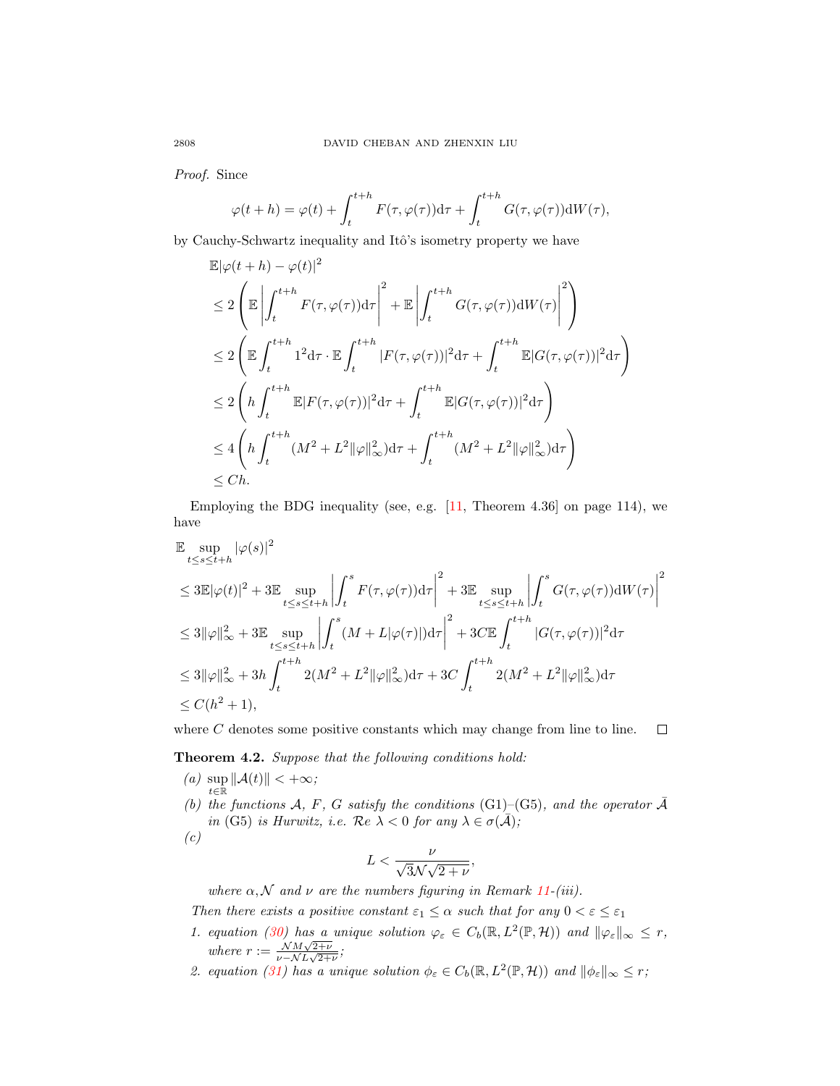Proof. Since

$$
\varphi(t+h) = \varphi(t) + \int_{t}^{t+h} F(\tau, \varphi(\tau)) d\tau + \int_{t}^{t+h} G(\tau, \varphi(\tau)) dW(\tau),
$$

by Cauchy-Schwartz inequality and Itô's isometry property we have

$$
\mathbb{E}|\varphi(t+h) - \varphi(t)|^2
$$
\n
$$
\leq 2 \left( \mathbb{E} \left| \int_t^{t+h} F(\tau, \varphi(\tau)) d\tau \right|^2 + \mathbb{E} \left| \int_t^{t+h} G(\tau, \varphi(\tau)) dW(\tau) \right|^2 \right)
$$
\n
$$
\leq 2 \left( \mathbb{E} \int_t^{t+h} 1^2 d\tau \cdot \mathbb{E} \int_t^{t+h} |F(\tau, \varphi(\tau))|^2 d\tau + \int_t^{t+h} \mathbb{E} |G(\tau, \varphi(\tau))|^2 d\tau \right)
$$
\n
$$
\leq 2 \left( h \int_t^{t+h} \mathbb{E} |F(\tau, \varphi(\tau))|^2 d\tau + \int_t^{t+h} \mathbb{E} |G(\tau, \varphi(\tau))|^2 d\tau \right)
$$
\n
$$
\leq 4 \left( h \int_t^{t+h} (M^2 + L^2 ||\varphi||_\infty^2) d\tau + \int_t^{t+h} (M^2 + L^2 ||\varphi||_\infty^2) d\tau \right)
$$
\n
$$
\leq Ch.
$$

Employing the BDG inequality (see, e.g.  $[11,$  Theorem 4.36 on page 114), we have

$$
\mathbb{E} \sup_{t \le s \le t+h} |\varphi(s)|^2
$$
\n
$$
\le 3 \mathbb{E} |\varphi(t)|^2 + 3 \mathbb{E} \sup_{t \le s \le t+h} \left| \int_t^s F(\tau, \varphi(\tau)) d\tau \right|^2 + 3 \mathbb{E} \sup_{t \le s \le t+h} \left| \int_t^s G(\tau, \varphi(\tau)) dW(\tau) \right|^2
$$
\n
$$
\le 3 \|\varphi\|_{\infty}^2 + 3 \mathbb{E} \sup_{t \le s \le t+h} \left| \int_t^s (M + L|\varphi(\tau)|) d\tau \right|^2 + 3C \mathbb{E} \int_t^{t+h} |G(\tau, \varphi(\tau))|^2 d\tau
$$
\n
$$
\le 3 \|\varphi\|_{\infty}^2 + 3h \int_t^{t+h} 2(M^2 + L^2 \|\varphi\|_{\infty}^2) d\tau + 3C \int_t^{t+h} 2(M^2 + L^2 \|\varphi\|_{\infty}^2) d\tau
$$
\n
$$
\le C(h^2 + 1),
$$

where  $C$  denotes some positive constants which may change from line to line.  $\Box$ 

<span id="page-17-0"></span>Theorem 4.2. Suppose that the following conditions hold:

- (a)  $\sup ||\mathcal{A}(t)|| < +\infty;$ t∈R (b) the functions A, F, G satisfy the conditions (G1)–(G5), and the operator  $\overline{A}$ in (G5) is Hurwitz, i.e.  $\mathcal{R}e \lambda < 0$  for any  $\lambda \in \sigma(\bar{\mathcal{A}})$ ;
	- $(c)$

$$
L < \frac{\nu}{\sqrt{3}\mathcal{N}\sqrt{2+\nu}},
$$

where  $\alpha, \mathcal{N}$  and  $\nu$  are the numbers figuring in Remark [11-](#page-9-3)(iii).

Then there exists a positive constant  $\varepsilon_1 \leq \alpha$  such that for any  $0 < \varepsilon \leq \varepsilon_1$ 

- 1. equation [\(30\)](#page-15-0) has a unique solution  $\varphi_{\varepsilon} \in C_b(\mathbb{R}, L^2(\mathbb{P}, \mathcal{H}))$  and  $\|\varphi_{\varepsilon}\|_{\infty} \leq r$ , where  $r := \frac{\mathcal{N}M\sqrt{2+\nu}}{\mathcal{N}L\sqrt{2+\nu}}$  $\frac{N M \sqrt{2+\nu}}{\nu-\mathcal{N}L\sqrt{2+\nu}}$ ;
- 2. equation [\(31\)](#page-16-0) has a unique solution  $\phi_{\varepsilon} \in C_b(\mathbb{R}, L^2(\mathbb{P}, \mathcal{H}))$  and  $\|\phi_{\varepsilon}\|_{\infty} \leq r$ ;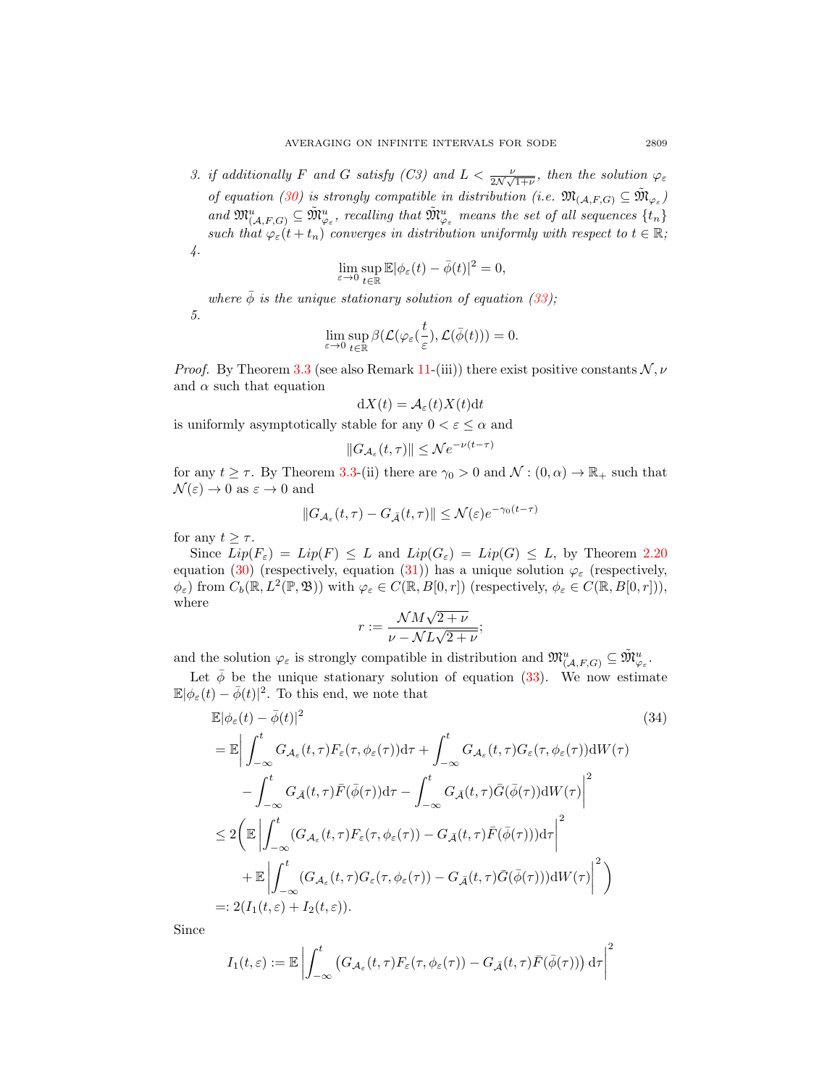3. if additionally F and G satisfy (C3) and  $L < \frac{\nu}{2\mathcal{N}\sqrt{1+\nu}}$ , then the solution  $\varphi_{\varepsilon}$ of equation [\(30\)](#page-15-0) is strongly compatible in distribution (i.e.  $\mathfrak{M}_{(\mathcal{A},F,G)} \subseteq \widetilde{\mathfrak{M}}_{\varphi_{\varepsilon}}$ ) and  $\mathfrak{M}_{(\mathcal{A},F,G)}^u \subseteq \tilde{\mathfrak{M}}_{\varphi_{\varepsilon}}^u$ , recalling that  $\tilde{\mathfrak{M}}_{\varphi_{\varepsilon}}^u$  means the set of all sequences  $\{t_n\}$ such that  $\varphi_{\varepsilon}(t+t_n)$  converges in distribution uniformly with respect to  $t \in \mathbb{R}$ ; 4.

<span id="page-18-0"></span>
$$
\lim_{\varepsilon \to 0} \sup_{t \in \mathbb{R}} \mathbb{E} |\phi_{\varepsilon}(t) - \bar{\phi}(t)|^2 = 0,
$$

where  $\bar{\phi}$  is the unique stationary solution of equation [\(33\)](#page-16-2); 5.

$$
\lim_{\varepsilon \to 0} \sup_{t \in \mathbb{R}} \beta(\mathcal{L}(\varphi_{\varepsilon}(\frac{t}{\varepsilon}), \mathcal{L}(\bar{\phi}(t))) = 0.
$$

*Proof.* By Theorem [3.3](#page-9-0) (see also Remark [11-](#page-9-3)(iii)) there exist positive constants  $\mathcal{N}, \nu$ and  $\alpha$  such that equation

$$
dX(t) = \mathcal{A}_{\varepsilon}(t)X(t)dt
$$

is uniformly asymptotically stable for any  $0 < \varepsilon \leq \alpha$  and

$$
||G_{\mathcal{A}_{\varepsilon}}(t,\tau)|| \leq \mathcal{N} e^{-\nu(t-\tau)}
$$

for any  $t \geq \tau$ . By Theorem [3.3-](#page-9-0)(ii) there are  $\gamma_0 > 0$  and  $\mathcal{N} : (0, \alpha) \to \mathbb{R}_+$  such that  $\mathcal{N}(\varepsilon) \to 0$  as  $\varepsilon \to 0$  and

$$
||G_{\mathcal{A}_{\varepsilon}}(t,\tau)-G_{\bar{\mathcal{A}}}(t,\tau)||\leq \mathcal{N}(\varepsilon)e^{-\gamma_0(t-\tau)}
$$

for any  $t > \tau$ .

Since  $Lip(F_{\varepsilon}) = Lip(F) \leq L$  and  $Lip(G_{\varepsilon}) = Lip(G) \leq L$ , by Theorem [2.20](#page-7-0) equation [\(30\)](#page-15-0) (respectively, equation [\(31\)](#page-16-0)) has a unique solution  $\varphi_{\varepsilon}$  (respectively,  $\phi_{\varepsilon}$ ) from  $C_b(\mathbb{R}, L^2(\mathbb{P}, \mathfrak{B}))$  with  $\varphi_{\varepsilon} \in C(\mathbb{R}, B[0, r])$  (respectively,  $\phi_{\varepsilon} \in C(\mathbb{R}, B[0, r]),$ where √

$$
r := \frac{\mathcal{N}M\sqrt{2+\nu}}{\nu - \mathcal{N}L\sqrt{2+\nu}};
$$

and the solution  $\varphi_{\varepsilon}$  is strongly compatible in distribution and  $\mathfrak{M}^u_{(\mathcal{A},F,G)} \subseteq \tilde{\mathfrak{M}}^u_{\varphi_{\varepsilon}}$ .

Let  $\bar{\phi}$  be the unique stationary solution of equation [\(33\)](#page-16-2). We now estimate  $\mathbb{E}|\phi_{\varepsilon}(t)-\overline{\phi}(t)|^2$ . To this end, we note that

$$
\mathbb{E}|\phi_{\varepsilon}(t) - \bar{\phi}(t)|^{2} \tag{34}
$$
\n
$$
= \mathbb{E} \Big| \int_{-\infty}^{t} G_{\mathcal{A}_{\varepsilon}}(t, \tau) F_{\varepsilon}(\tau, \phi_{\varepsilon}(\tau)) \mathrm{d}\tau + \int_{-\infty}^{t} G_{\mathcal{A}_{\varepsilon}}(t, \tau) G_{\varepsilon}(\tau, \phi_{\varepsilon}(\tau)) \mathrm{d}W(\tau) - \int_{-\infty}^{t} G_{\bar{\mathcal{A}}}(t, \tau) \bar{F}(\bar{\phi}(\tau)) \mathrm{d}\tau - \int_{-\infty}^{t} G_{\bar{\mathcal{A}}}(t, \tau) \bar{G}(\bar{\phi}(\tau)) \mathrm{d}W(\tau) \Big|^{2} \tag{34}
$$
\n
$$
\leq 2 \Big( \mathbb{E} \Big| \int_{-\infty}^{t} (G_{\mathcal{A}_{\varepsilon}}(t, \tau) F_{\varepsilon}(\tau, \phi_{\varepsilon}(\tau)) - G_{\bar{\mathcal{A}}}(t, \tau) \bar{F}(\bar{\phi}(\tau)) \mathrm{d}\tau \Big|^{2} + \mathbb{E} \Big| \int_{-\infty}^{t} (G_{\mathcal{A}_{\varepsilon}}(t, \tau) G_{\varepsilon}(\tau, \phi_{\varepsilon}(\tau)) - G_{\bar{\mathcal{A}}}(t, \tau) \bar{G}(\bar{\phi}(\tau)) \mathrm{d}W(\tau) \Big|^{2} \Big) \tag{34}
$$
\n
$$
=: 2(I_{1}(t, \varepsilon) + I_{2}(t, \varepsilon)).
$$

Since

$$
I_1(t,\varepsilon) := \mathbb{E} \left| \int_{-\infty}^t \left( G_{\mathcal{A}_{\varepsilon}}(t,\tau) F_{\varepsilon}(\tau,\phi_{\varepsilon}(\tau)) - G_{\bar{\mathcal{A}}}(t,\tau) \bar{F}(\bar{\phi}(\tau)) \right) d\tau \right|^2
$$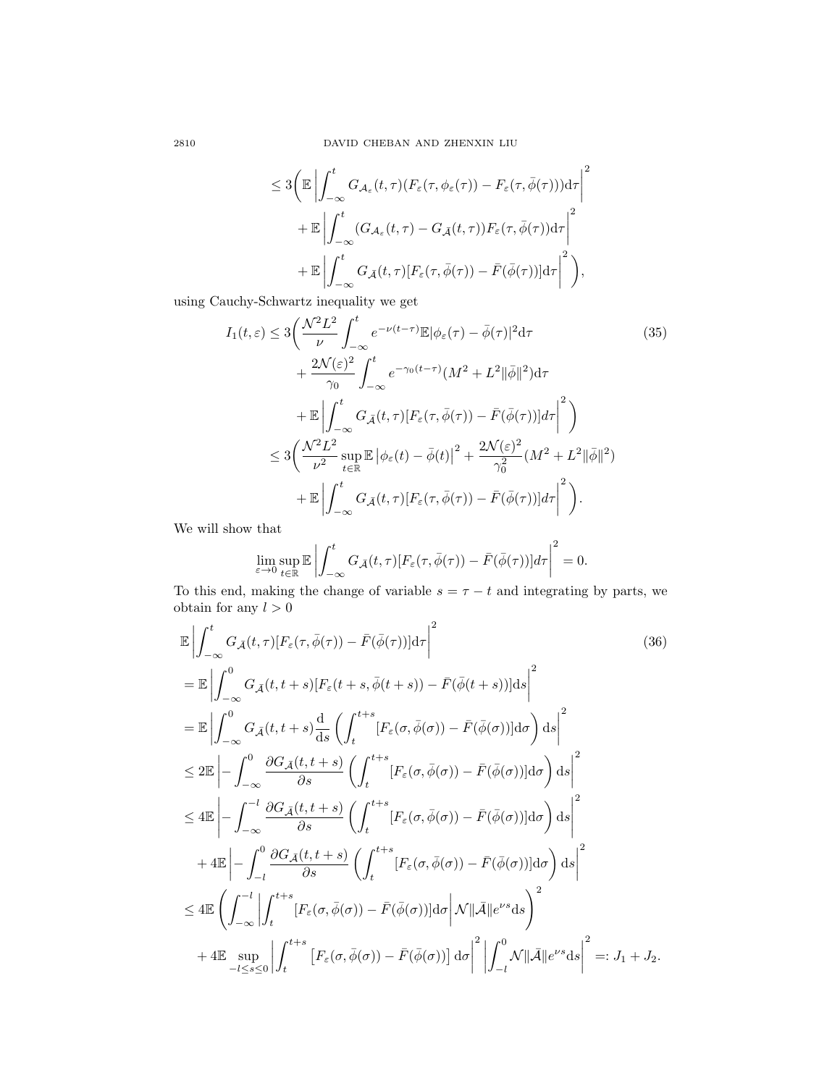<span id="page-19-1"></span>
$$
\leq 3 \Bigg( \mathbb{E} \left| \int_{-\infty}^{t} G_{\mathcal{A}_{\varepsilon}}(t, \tau) (F_{\varepsilon}(\tau, \phi_{\varepsilon}(\tau)) - F_{\varepsilon}(\tau, \bar{\phi}(\tau))) \mathrm{d}\tau \right|^{2} + \mathbb{E} \left| \int_{-\infty}^{t} (G_{\mathcal{A}_{\varepsilon}}(t, \tau) - G_{\bar{\mathcal{A}}}(t, \tau)) F_{\varepsilon}(\tau, \bar{\phi}(\tau)) \mathrm{d}\tau \right|^{2} + \mathbb{E} \left| \int_{-\infty}^{t} G_{\bar{\mathcal{A}}}(t, \tau) [F_{\varepsilon}(\tau, \bar{\phi}(\tau)) - \bar{F}(\bar{\phi}(\tau))] \mathrm{d}\tau \right|^{2} \Bigg),
$$

using Cauchy-Schwartz inequality we get

$$
I_{1}(t,\varepsilon) \leq 3\left(\frac{\mathcal{N}^{2}L^{2}}{\nu}\int_{-\infty}^{t}e^{-\nu(t-\tau)}\mathbb{E}|\phi_{\varepsilon}(\tau)-\bar{\phi}(\tau)|^{2}\mathrm{d}\tau\right)
$$
\n
$$
+\frac{2\mathcal{N}(\varepsilon)^{2}}{\gamma_{0}}\int_{-\infty}^{t}e^{-\gamma_{0}(t-\tau)}(M^{2}+L^{2}||\bar{\phi}||^{2})\mathrm{d}\tau
$$
\n
$$
+\mathbb{E}\left|\int_{-\infty}^{t}G_{\bar{\mathcal{A}}}(t,\tau)[F_{\varepsilon}(\tau,\bar{\phi}(\tau))-\bar{F}(\bar{\phi}(\tau))]d\tau\right|^{2}\right)
$$
\n
$$
\leq 3\left(\frac{\mathcal{N}^{2}L^{2}}{\nu^{2}}\sup_{t\in\mathbb{R}}\mathbb{E}|\phi_{\varepsilon}(t)-\bar{\phi}(t)|^{2}+\frac{2\mathcal{N}(\varepsilon)^{2}}{\gamma_{0}^{2}}(M^{2}+L^{2}||\bar{\phi}||^{2})
$$
\n
$$
+\mathbb{E}\left|\int_{-\infty}^{t}G_{\bar{\mathcal{A}}}(t,\tau)[F_{\varepsilon}(\tau,\bar{\phi}(\tau))- \bar{F}(\bar{\phi}(\tau))]d\tau\right|^{2}\right).
$$

We will show that

<span id="page-19-0"></span>
$$
\lim_{\varepsilon \to 0} \sup_{t \in \mathbb{R}} \mathbb{E} \left| \int_{-\infty}^t G_{\bar{\mathcal{A}}}(t,\tau) [F_{\varepsilon}(\tau,\bar{\phi}(\tau)) - \bar{F}(\bar{\phi}(\tau))] d\tau \right|^2 = 0.
$$

To this end, making the change of variable  $s = \tau - t$  and integrating by parts, we obtain for any  $l > 0$ 

$$
\mathbb{E}\left|\int_{-\infty}^{t} G_{\tilde{\mathcal{A}}}(t,\tau)[F_{\varepsilon}(\tau,\bar{\phi}(\tau))-\bar{F}(\bar{\phi}(\tau))]d\tau\right|^{2}\n= \mathbb{E}\left|\int_{-\infty}^{0} G_{\tilde{\mathcal{A}}}(t,t+s)[F_{\varepsilon}(t+s,\bar{\phi}(t+s))-\bar{F}(\bar{\phi}(t+s))]ds\right|^{2}\n= \mathbb{E}\left|\int_{-\infty}^{0} G_{\tilde{\mathcal{A}}}(t,t+s)\frac{d}{ds}\left(\int_{t}^{t+s}[F_{\varepsilon}(\sigma,\bar{\phi}(\sigma))-\bar{F}(\bar{\phi}(\sigma))]d\sigma\right)ds\right|^{2}\n\leq 2\mathbb{E}\left|\int_{-\infty}^{0}\frac{\partial G_{\tilde{\mathcal{A}}}(t,t+s)}{\partial s}\left(\int_{t}^{t+s}[F_{\varepsilon}(\sigma,\bar{\phi}(\sigma))-\bar{F}(\bar{\phi}(\sigma))]d\sigma\right)ds\right|^{2}\n\leq 4\mathbb{E}\left|\int_{-\infty}^{-l}\frac{\partial G_{\tilde{\mathcal{A}}}(t,t+s)}{\partial s}\left(\int_{t}^{t+s}[F_{\varepsilon}(\sigma,\bar{\phi}(\sigma))-\bar{F}(\bar{\phi}(\sigma))]d\sigma\right)ds\right|^{2}\n+ 4\mathbb{E}\left|\int_{-l}^{0}\frac{\partial G_{\tilde{\mathcal{A}}}(t,t+s)}{\partial s}\left(\int_{t}^{t+s}[F_{\varepsilon}(\sigma,\bar{\phi}(\sigma))-\bar{F}(\bar{\phi}(\sigma))]d\sigma\right)ds\right|^{2}\n\leq 4\mathbb{E}\left(\int_{-\infty}^{-l}\left|\int_{t}^{t+s}[F_{\varepsilon}(\sigma,\bar{\phi}(\sigma))-\bar{F}(\bar{\phi}(\sigma))]d\sigma\right|\mathcal{N}\|\bar{\mathcal{A}}\|e^{\nu s}ds\right)^{2}\n+ 4\mathbb{E}\sup_{-l\leq s\leq 0}\left|\int_{t}^{t+s}[F_{\varepsilon}(\sigma,\bar{\phi}(\sigma))-\bar{F}(\bar{\phi}(\sigma))]d\sigma\right|^{2}\left|\int_{-l}^{0}\mathcal{N}\|\bar{\mathcal{A}}\|e^{\nu s}ds\right|^{2}=:J_{1}+J_{2}.
$$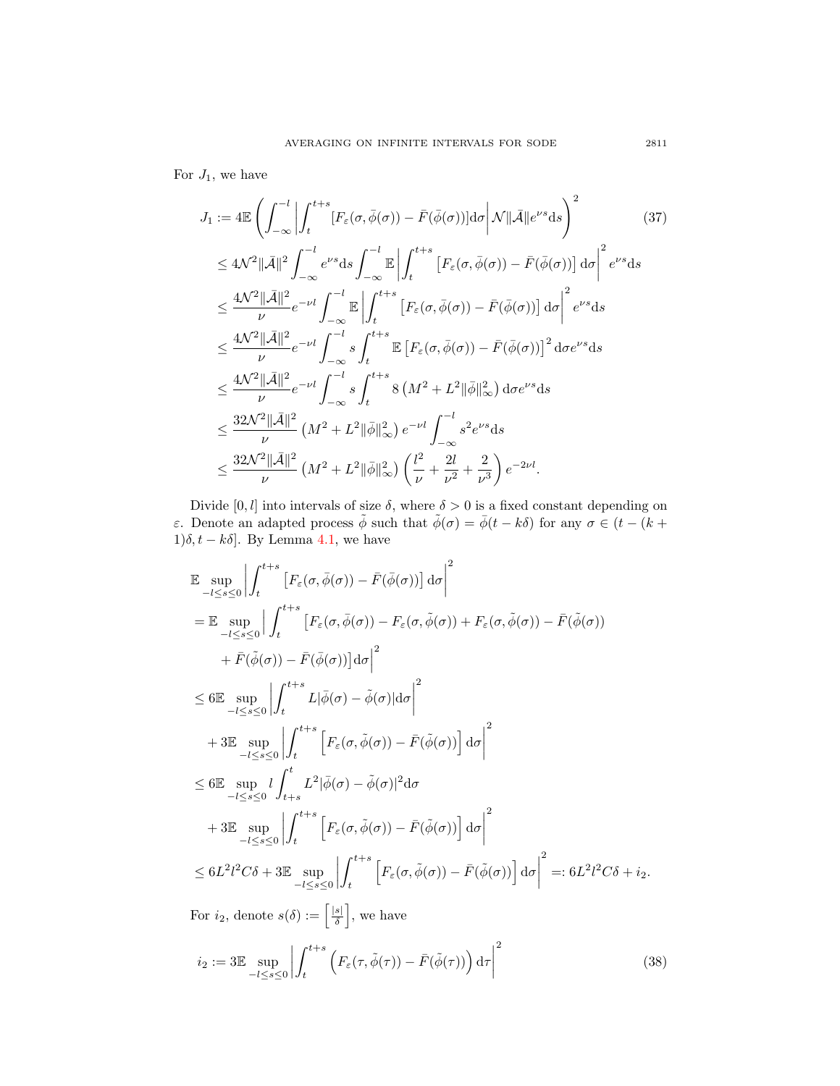For  $J_1$ , we have

<span id="page-20-1"></span>
$$
J_{1} := 4\mathbb{E}\left(\int_{-\infty}^{-l} \left| \int_{t}^{t+s} [F_{\varepsilon}(\sigma,\bar{\phi}(\sigma)) - \bar{F}(\bar{\phi}(\sigma))] d\sigma \right| \mathcal{N} \|\bar{\mathcal{A}}\| e^{\nu s} ds\right)^{2} \leq 4\mathcal{N}^{2} \|\bar{\mathcal{A}}\|^{2} \int_{-\infty}^{-l} e^{\nu s} ds \int_{-\infty}^{-l} \mathbb{E}\left|\int_{t}^{t+s} \left[F_{\varepsilon}(\sigma,\bar{\phi}(\sigma)) - \bar{F}(\bar{\phi}(\sigma))\right] d\sigma\right|^{2} e^{\nu s} ds \leq \frac{4\mathcal{N}^{2} \|\bar{\mathcal{A}}\|^{2}}{\nu} e^{-\nu l} \int_{-\infty}^{-l} \mathbb{E}\left|\int_{t}^{t+s} \left[F_{\varepsilon}(\sigma,\bar{\phi}(\sigma)) - \bar{F}(\bar{\phi}(\sigma))\right] d\sigma\right|^{2} e^{\nu s} ds \leq \frac{4\mathcal{N}^{2} \|\bar{\mathcal{A}}\|^{2}}{\nu} e^{-\nu l} \int_{-\infty}^{-l} s \int_{t}^{t+s} \mathbb{E}\left[F_{\varepsilon}(\sigma,\bar{\phi}(\sigma)) - \bar{F}(\bar{\phi}(\sigma))\right]^{2} d\sigma e^{\nu s} ds \leq \frac{4\mathcal{N}^{2} \|\bar{\mathcal{A}}\|^{2}}{\nu} e^{-\nu l} \int_{-\infty}^{-l} s \int_{t}^{t+s} 8 \left(M^{2} + L^{2} \|\bar{\phi}\|_{\infty}^{2}\right) d\sigma e^{\nu s} ds \leq \frac{32\mathcal{N}^{2} \|\bar{\mathcal{A}}\|^{2}}{\nu} \left(M^{2} + L^{2} \|\bar{\phi}\|_{\infty}^{2}\right) e^{-\nu l} \int_{-\infty}^{-l} s^{2} e^{\nu s} ds \leq \frac{32\mathcal{N}^{2} \|\bar{\mathcal{A}}\|^{2}}{\nu} \left(M^{2} + L^{2} \|\bar{\phi}\|_{\infty}^{2}\right) \left(\frac{l^{2}}{\nu} + \frac{2l}{\nu^{2}} + \frac{2}{\nu^{3}}\right) e^{-2\nu l}.
$$

Divide [0, l] into intervals of size  $\delta$ , where  $\delta > 0$  is a fixed constant depending on ε. Denote an adapted process  $\tilde{\phi}$  such that  $\tilde{\phi}(\sigma) = \bar{\phi}(t - k\delta)$  for any  $\sigma \in (t - (k +$  $1)\delta, t - k\delta$ . By Lemma [4.1,](#page-16-3) we have

$$
\mathbb{E} \sup_{-l \leq s \leq 0} \left| \int_{t}^{t+s} \left[ F_{\varepsilon}(\sigma, \bar{\phi}(\sigma)) - \bar{F}(\bar{\phi}(\sigma)) \right] d\sigma \right|^{2}
$$
\n  
\n
$$
= \mathbb{E} \sup_{-l \leq s \leq 0} \left| \int_{t}^{t+s} \left[ F_{\varepsilon}(\sigma, \bar{\phi}(\sigma)) - F_{\varepsilon}(\sigma, \tilde{\phi}(\sigma)) + F_{\varepsilon}(\sigma, \tilde{\phi}(\sigma)) - \bar{F}(\tilde{\phi}(\sigma)) \right] d\sigma \right|^{2}
$$
\n  
\n
$$
\leq 6 \mathbb{E} \sup_{-l \leq s \leq 0} \left| \int_{t}^{t+s} L|\bar{\phi}(\sigma) - \tilde{\phi}(\sigma)| d\sigma \right|^{2}
$$
\n  
\n
$$
+ 3 \mathbb{E} \sup_{-l \leq s \leq 0} \left| \int_{t}^{t+s} \left[ F_{\varepsilon}(\sigma, \tilde{\phi}(\sigma)) - \bar{F}(\tilde{\phi}(\sigma)) \right] d\sigma \right|^{2}
$$
\n  
\n
$$
\leq 6 \mathbb{E} \sup_{-l \leq s \leq 0} \left| \int_{t+s}^{t} L^{2} |\bar{\phi}(\sigma) - \tilde{\phi}(\sigma)|^{2} d\sigma \right|^{2}
$$
\n  
\n
$$
+ 3 \mathbb{E} \sup_{-l \leq s \leq 0} \left| \int_{t+s}^{t+s} \left[ F_{\varepsilon}(\sigma, \tilde{\phi}(\sigma)) - \bar{F}(\tilde{\phi}(\sigma)) \right] d\sigma \right|^{2}
$$
\n  
\n
$$
\leq 6 L^{2} l^{2} C \delta + 3 \mathbb{E} \sup_{-l \leq s \leq 0} \left| \int_{t}^{t+s} \left[ F_{\varepsilon}(\sigma, \tilde{\phi}(\sigma)) - \bar{F}(\tilde{\phi}(\sigma)) \right] d\sigma \right|^{2} =: 6 L^{2} l^{2} C \delta + i_{2}.
$$

For  $i_2$ , denote  $s(\delta) := \left\lceil \frac{|s|}{\delta} \right\rceil$  $\frac{s|}{\delta}$ , we have

<span id="page-20-0"></span>
$$
i_2 := 3\mathbb{E} \sup_{-l \le s \le 0} \left| \int_t^{t+s} \left( F_\varepsilon(\tau, \tilde{\phi}(\tau)) - \bar{F}(\tilde{\phi}(\tau)) \right) d\tau \right|^2 \tag{38}
$$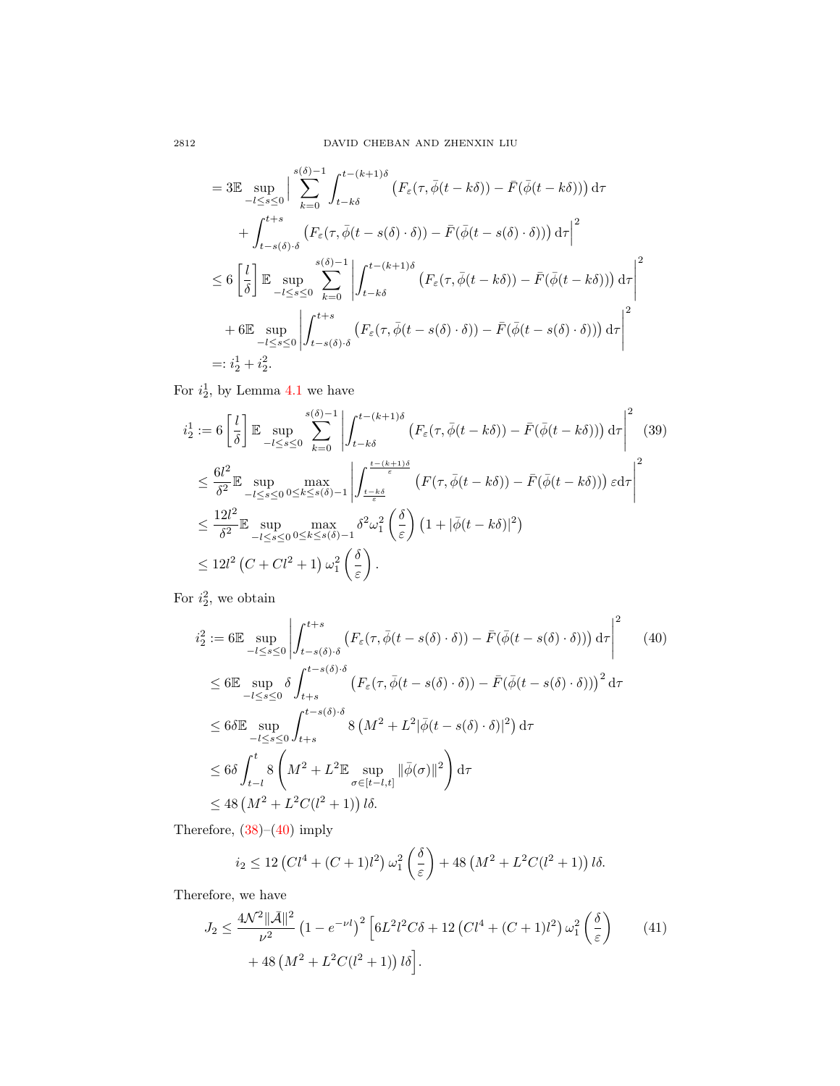$$
= 3\mathbb{E} \sup_{-l \leq s \leq 0} \Big| \sum_{k=0}^{s(\delta)-1} \int_{t-k\delta}^{t-(k+1)\delta} \left( F_{\varepsilon}(\tau, \overline{\phi}(t - k\delta)) - \overline{F}(\overline{\phi}(t - k\delta)) \right) d\tau
$$
  
+ 
$$
\int_{t-s(\delta)\cdot\delta}^{t+s} \left( F_{\varepsilon}(\tau, \overline{\phi}(t - s(\delta)\cdot\delta)) - \overline{F}(\overline{\phi}(t - s(\delta)\cdot\delta)) \right) d\tau \Big|^{2}
$$
  

$$
\leq 6 \left[ \frac{l}{\delta} \right] \mathbb{E} \sup_{-l \leq s \leq 0} \sum_{k=0}^{s(\delta)-1} \left| \int_{t-k\delta}^{t-(k+1)\delta} \left( F_{\varepsilon}(\tau, \overline{\phi}(t - k\delta)) - \overline{F}(\overline{\phi}(t - k\delta)) \right) d\tau \right|^{2}
$$
  
+ 6\mathbb{E} \sup\_{-l \leq s \leq 0} \left| \int\_{t-s(\delta)\cdot\delta}^{t+s} \left( F\_{\varepsilon}(\tau, \overline{\phi}(t - s(\delta)\cdot\delta)) - \overline{F}(\overline{\phi}(t - s(\delta)\cdot\delta)) \right) d\tau \right|^{2}  
=:  $i\frac{1}{2} + i\frac{2}{2}$ .

For  $i_2^1$ , by Lemma [4.1](#page-16-3) we have

$$
\begin{split}\ni_{2}^{1} &:= 6\left[\frac{l}{\delta}\right] \mathbb{E} \sup_{-l \leq s \leq 0} \sum_{k=0}^{s(\delta)-1} \left| \int_{t-k\delta}^{t-(k+1)\delta} \left( F_{\varepsilon}(\tau,\bar{\phi}(t-k\delta)) - \bar{F}(\bar{\phi}(t-k\delta)) \right) d\tau \right|^{2} \tag{39} \\
&\leq \frac{6l^{2}}{\delta^{2}} \mathbb{E} \sup_{-l \leq s \leq 0} \max_{0 \leq k \leq s(\delta)-1} \left| \int_{\frac{t-k\delta}{\varepsilon}}^{\frac{t-(k+1)\delta}{\varepsilon}} \left( F(\tau,\bar{\phi}(t-k\delta)) - \bar{F}(\bar{\phi}(t-k\delta)) \right) \varepsilon d\tau \right|^{2} \\
&\leq \frac{12l^{2}}{\delta^{2}} \mathbb{E} \sup_{-l \leq s \leq 0} \max_{0 \leq k \leq s(\delta)-1} \delta^{2} \omega_{1}^{2} \left( \frac{\delta}{\varepsilon} \right) \left( 1 + |\bar{\phi}(t-k\delta)|^{2} \right) \\
&\leq 12l^{2} \left( C + Cl^{2} + 1 \right) \omega_{1}^{2} \left( \frac{\delta}{\varepsilon} \right). \n\end{split}
$$

For  $i_2^2$ , we obtain

<span id="page-21-0"></span>
$$
\begin{split}\ni_{2}^{2} &:= 6 \mathbb{E} \sup_{-l \leq s \leq 0} \left| \int_{t-s(\delta)\cdot\delta}^{t+s} \left( F_{\varepsilon}(\tau, \bar{\phi}(t-s(\delta)\cdot\delta)) - \bar{F}(\bar{\phi}(t-s(\delta)\cdot\delta)) \right) d\tau \right|^{2} \tag{40} \\
&\leq 6 \mathbb{E} \sup_{-l \leq s \leq 0} \delta \int_{t+s}^{t-s(\delta)\cdot\delta} \left( F_{\varepsilon}(\tau, \bar{\phi}(t-s(\delta)\cdot\delta)) - \bar{F}(\bar{\phi}(t-s(\delta)\cdot\delta)) \right)^{2} d\tau \\
&\leq 6 \delta \mathbb{E} \sup_{-l \leq s \leq 0} \int_{t+s}^{t-s(\delta)\cdot\delta} 8 \left( M^{2} + L^{2} |\bar{\phi}(t-s(\delta)\cdot\delta)|^{2} \right) d\tau \\
&\leq 6 \delta \int_{t-l}^{t} 8 \left( M^{2} + L^{2} \mathbb{E} \sup_{\sigma \in [t-l,t]} ||\bar{\phi}(\sigma)||^{2} \right) d\tau \\
&\leq 48 \left( M^{2} + L^{2} C(l^{2} + 1) \right) l\delta.\n\end{split}
$$

Therefore,  $(38)$ – $(40)$  imply

<span id="page-21-1"></span>
$$
i_2 \le 12\left(Cl^4 + (C+1)l^2\right)\omega_1^2\left(\frac{\delta}{\varepsilon}\right) + 48\left(M^2 + L^2C(l^2+1)\right)l\delta.
$$

Therefore, we have

$$
J_2 \le \frac{4\mathcal{N}^2 \|\bar{\mathcal{A}}\|^2}{\nu^2} \left(1 - e^{-\nu l}\right)^2 \left[6L^2 l^2 C \delta + 12\left(Cl^4 + (C+1)l^2\right) \omega_1^2 \left(\frac{\delta}{\varepsilon}\right) + 48\left(M^2 + L^2 C(l^2+1)\right) l\delta\right].
$$
\n(41)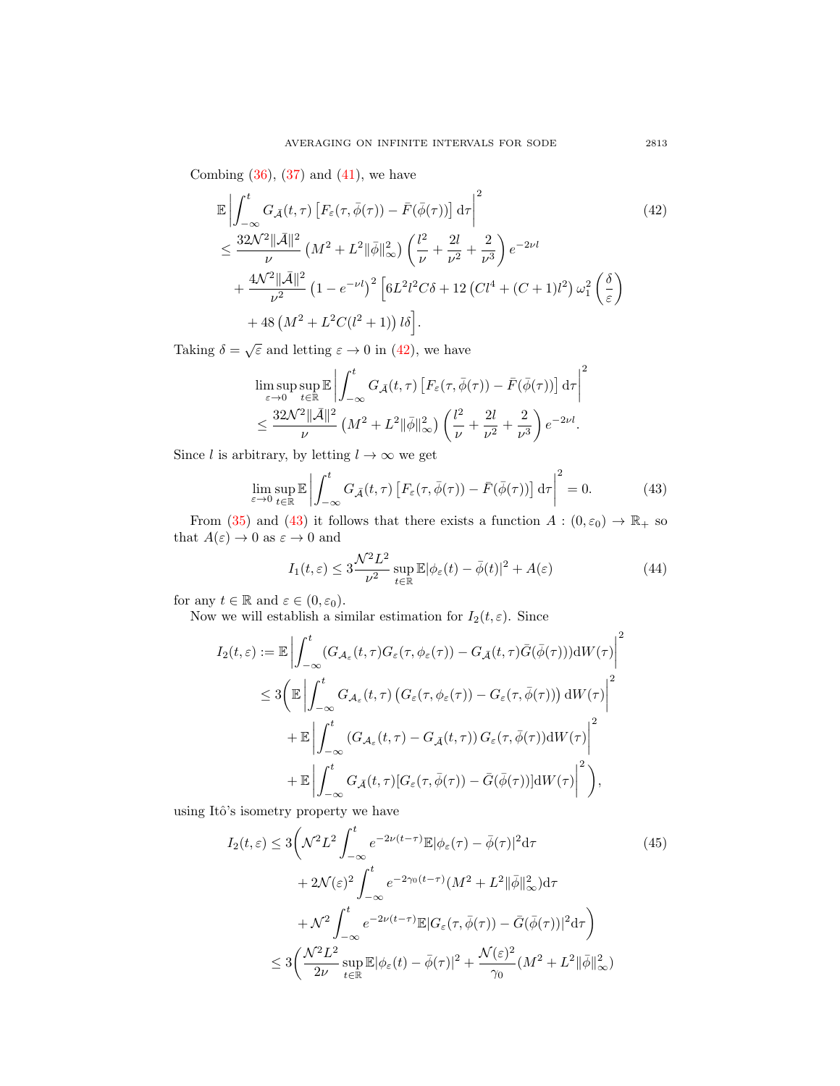Combing  $(36)$ ,  $(37)$  and  $(41)$ , we have

$$
\mathbb{E}\left|\int_{-\infty}^{t} G_{\bar{\mathcal{A}}}(t,\tau) \left[F_{\varepsilon}(\tau,\bar{\phi}(\tau)) - \bar{F}(\bar{\phi}(\tau))\right] d\tau\right|^{2} \tag{42}
$$
\n
$$
\leq \frac{32\mathcal{N}^{2}||\bar{\mathcal{A}}||^{2}}{\nu} \left(M^{2} + L^{2}||\bar{\phi}||_{\infty}^{2}\right) \left(\frac{l^{2}}{\nu} + \frac{2l}{\nu^{2}} + \frac{2}{\nu^{3}}\right) e^{-2\nu l}
$$
\n
$$
+ \frac{4\mathcal{N}^{2}||\bar{\mathcal{A}}||^{2}}{\nu^{2}} \left(1 - e^{-\nu l}\right)^{2} \left[6L^{2}l^{2}C\delta + 12\left(Cl^{4} + (C+1)l^{2}\right)\omega_{1}^{2}\left(\frac{\delta}{\varepsilon}\right) + 48\left(M^{2} + L^{2}C(l^{2}+1)\right)l\delta\right].
$$
\n(42)

Taking  $\delta = \sqrt{\varepsilon}$  and letting  $\varepsilon \to 0$  in [\(42\)](#page-22-0), we have

<span id="page-22-0"></span>
$$
\limsup_{\varepsilon \to 0} \sup_{t \in \mathbb{R}} \mathbb{E} \left| \int_{-\infty}^{t} G_{\bar{A}}(t, \tau) \left[ F_{\varepsilon}(\tau, \bar{\phi}(\tau)) - \bar{F}(\bar{\phi}(\tau)) \right] d\tau \right|^{2}
$$
  

$$
\leq \frac{32\mathcal{N}^{2} ||\bar{A}||^{2}}{\nu} \left( M^{2} + L^{2} ||\bar{\phi}||_{\infty}^{2} \right) \left( \frac{l^{2}}{\nu} + \frac{2l}{\nu^{2}} + \frac{2}{\nu^{3}} \right) e^{-2\nu l}.
$$

Since l is arbitrary, by letting  $l \to \infty$  we get

<span id="page-22-1"></span>
$$
\lim_{\varepsilon \to 0} \sup_{t \in \mathbb{R}} \mathbb{E} \left| \int_{-\infty}^{t} G_{\tilde{\mathcal{A}}}(t,\tau) \left[ F_{\varepsilon}(\tau,\bar{\phi}(\tau)) - \bar{F}(\bar{\phi}(\tau)) \right] d\tau \right|^{2} = 0.
$$
 (43)

From [\(35\)](#page-19-1) and [\(43\)](#page-22-1) it follows that there exists a function  $A: (0, \varepsilon_0) \to \mathbb{R}_+$  so that  $A(\varepsilon) \to 0$  as  $\varepsilon \to 0$  and

<span id="page-22-3"></span>
$$
I_1(t,\varepsilon) \le 3\frac{\mathcal{N}^2 L^2}{\nu^2} \sup_{t \in \mathbb{R}} \mathbb{E}|\phi_{\varepsilon}(t) - \bar{\phi}(t)|^2 + A(\varepsilon)
$$
 (44)

for any  $t \in \mathbb{R}$  and  $\varepsilon \in (0, \varepsilon_0)$ .

Now we will establish a similar estimation for  $I_2(t, \varepsilon)$ . Since

$$
I_2(t,\varepsilon) := \mathbb{E} \left| \int_{-\infty}^t (G_{\mathcal{A}_{\varepsilon}}(t,\tau)G_{\varepsilon}(\tau,\phi_{\varepsilon}(\tau)) - G_{\tilde{\mathcal{A}}}(t,\tau)\bar{G}(\bar{\phi}(\tau)))\mathrm{d}W(\tau) \right|^2
$$
  

$$
\leq 3 \bigg( \mathbb{E} \left| \int_{-\infty}^t G_{\mathcal{A}_{\varepsilon}}(t,\tau) \left( G_{\varepsilon}(\tau,\phi_{\varepsilon}(\tau)) - G_{\varepsilon}(\tau,\bar{\phi}(\tau)) \right) \mathrm{d}W(\tau) \right|^2
$$
  

$$
+ \mathbb{E} \left| \int_{-\infty}^t (G_{\mathcal{A}_{\varepsilon}}(t,\tau) - G_{\tilde{\mathcal{A}}}(t,\tau)) G_{\varepsilon}(\tau,\bar{\phi}(\tau)) \mathrm{d}W(\tau) \right|^2
$$
  

$$
+ \mathbb{E} \left| \int_{-\infty}^t G_{\tilde{\mathcal{A}}}(t,\tau) [G_{\varepsilon}(\tau,\bar{\phi}(\tau)) - \bar{G}(\bar{\phi}(\tau))] \mathrm{d}W(\tau) \bigg|^2 \right),
$$

using Itô's isometry property we have

<span id="page-22-2"></span>
$$
I_2(t,\varepsilon) \le 3\left(\mathcal{N}^2 L^2 \int_{-\infty}^t e^{-2\nu(t-\tau)} \mathbb{E}|\phi_{\varepsilon}(\tau) - \bar{\phi}(\tau)|^2 d\tau \right)
$$
  
+  $2\mathcal{N}(\varepsilon)^2 \int_{-\infty}^t e^{-2\gamma_0(t-\tau)} (M^2 + L^2 ||\bar{\phi}||_{\infty}^2) d\tau$   
+  $\mathcal{N}^2 \int_{-\infty}^t e^{-2\nu(t-\tau)} \mathbb{E} |G_{\varepsilon}(\tau, \bar{\phi}(\tau)) - \bar{G}(\bar{\phi}(\tau))|^2 d\tau \right)$   
 $\le 3\left(\frac{\mathcal{N}^2 L^2}{2\nu} \sup_{t \in \mathbb{R}} \mathbb{E} |\phi_{\varepsilon}(t) - \bar{\phi}(\tau)|^2 + \frac{\mathcal{N}(\varepsilon)^2}{\gamma_0} (M^2 + L^2 ||\bar{\phi}||_{\infty}^2) \right)$  (45)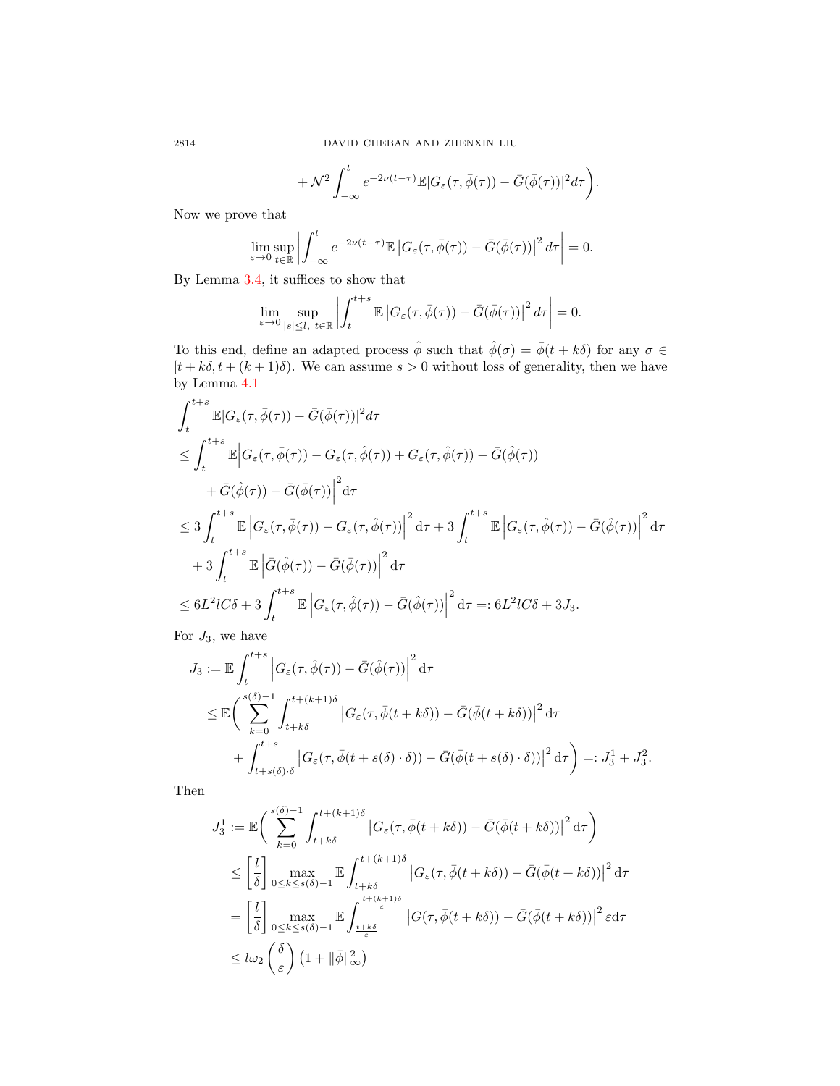$$
+\mathcal{N}^2\int_{-\infty}^t e^{-2\nu(t-\tau)}\mathbb{E}|G_{\varepsilon}(\tau,\bar{\phi}(\tau))-\bar{G}(\bar{\phi}(\tau))|^2d\tau\bigg).
$$

Now we prove that

<span id="page-23-0"></span>
$$
\lim_{\varepsilon \to 0} \sup_{t \in \mathbb{R}} \left| \int_{-\infty}^t e^{-2\nu (t-\tau)} \mathbb{E} \left| G_{\varepsilon}(\tau, \bar{\phi}(\tau)) - \bar{G}(\bar{\phi}(\tau)) \right|^2 d\tau \right| = 0.
$$

By Lemma [3.4,](#page-10-3) it suffices to show that

$$
\lim_{\varepsilon \to 0} \sup_{|s| \leq l, \ t \in \mathbb{R}} \left| \int_{t}^{t+s} \mathbb{E} \left| G_{\varepsilon}(\tau, \bar{\phi}(\tau)) - \bar{G}(\bar{\phi}(\tau)) \right|^{2} d\tau \right| = 0.
$$

To this end, define an adapted process  $\hat{\phi}$  such that  $\hat{\phi}(\sigma) = \bar{\phi}(t + k\delta)$  for any  $\sigma \in$  $[t + k\delta, t + (k+1)\delta)$ . We can assume  $s > 0$  without loss of generality, then we have by Lemma [4.1](#page-16-3)

$$
\int_{t}^{t+s} \mathbb{E} |G_{\varepsilon}(\tau,\bar{\phi}(\tau)) - \bar{G}(\bar{\phi}(\tau))|^{2} d\tau
$$
\n
$$
\leq \int_{t}^{t+s} \mathbb{E} |G_{\varepsilon}(\tau,\bar{\phi}(\tau)) - G_{\varepsilon}(\tau,\hat{\phi}(\tau)) + G_{\varepsilon}(\tau,\hat{\phi}(\tau)) - \bar{G}(\hat{\phi}(\tau))
$$
\n
$$
+ \bar{G}(\hat{\phi}(\tau)) - \bar{G}(\bar{\phi}(\tau))|^{2} d\tau
$$
\n
$$
\leq 3 \int_{t}^{t+s} \mathbb{E} |G_{\varepsilon}(\tau,\bar{\phi}(\tau)) - G_{\varepsilon}(\tau,\hat{\phi}(\tau))|^{2} d\tau + 3 \int_{t}^{t+s} \mathbb{E} |G_{\varepsilon}(\tau,\hat{\phi}(\tau)) - \bar{G}(\hat{\phi}(\tau))|^{2} d\tau
$$
\n
$$
+ 3 \int_{t}^{t+s} \mathbb{E} | \bar{G}(\hat{\phi}(\tau)) - \bar{G}(\bar{\phi}(\tau))|^{2} d\tau
$$
\n
$$
\leq 6L^{2} l C \delta + 3 \int_{t}^{t+s} \mathbb{E} |G_{\varepsilon}(\tau,\hat{\phi}(\tau)) - \bar{G}(\hat{\phi}(\tau))|^{2} d\tau =: 6L^{2} l C \delta + 3J_{3}.
$$

For  $J_3$ , we have

$$
J_3 := \mathbb{E} \int_t^{t+s} \left| G_{\varepsilon}(\tau, \hat{\phi}(\tau)) - \bar{G}(\hat{\phi}(\tau)) \right|^2 d\tau
$$
  

$$
\leq \mathbb{E} \bigg( \sum_{k=0}^{s(\delta)-1} \int_{t+k\delta}^{t+(k+1)\delta} \left| G_{\varepsilon}(\tau, \bar{\phi}(t+k\delta)) - \bar{G}(\bar{\phi}(t+k\delta)) \right|^2 d\tau
$$
  

$$
+ \int_{t+s(\delta)\cdot\delta}^{t+s} \left| G_{\varepsilon}(\tau, \bar{\phi}(t+s(\delta)\cdot\delta)) - \bar{G}(\bar{\phi}(t+s(\delta)\cdot\delta)) \right|^2 d\tau \bigg) =: J_3^1 + J_3^2.
$$

Then

$$
J_3^1 := \mathbb{E}\bigg(\sum_{k=0}^{s(\delta)-1} \int_{t+k\delta}^{t+(k+1)\delta} \left| G_{\varepsilon}(\tau, \bar{\phi}(t+k\delta)) - \bar{G}(\bar{\phi}(t+k\delta)) \right|^2 d\tau \bigg)
$$
  

$$
\leq \left[ \frac{l}{\delta} \right] \max_{0 \leq k \leq s(\delta)-1} \mathbb{E} \int_{t+k\delta}^{t+(k+1)\delta} \left| G_{\varepsilon}(\tau, \bar{\phi}(t+k\delta)) - \bar{G}(\bar{\phi}(t+k\delta)) \right|^2 d\tau
$$
  

$$
= \left[ \frac{l}{\delta} \right] \max_{0 \leq k \leq s(\delta)-1} \mathbb{E} \int_{\frac{t+k\delta}{\varepsilon}}^{t+(k+1)\delta} \left| G(\tau, \bar{\phi}(t+k\delta)) - \bar{G}(\bar{\phi}(t+k\delta)) \right|^2 \varepsilon d\tau
$$
  

$$
\leq l\omega_2 \left( \frac{\delta}{\varepsilon} \right) \left( 1 + ||\bar{\phi}||_{\infty}^2 \right)
$$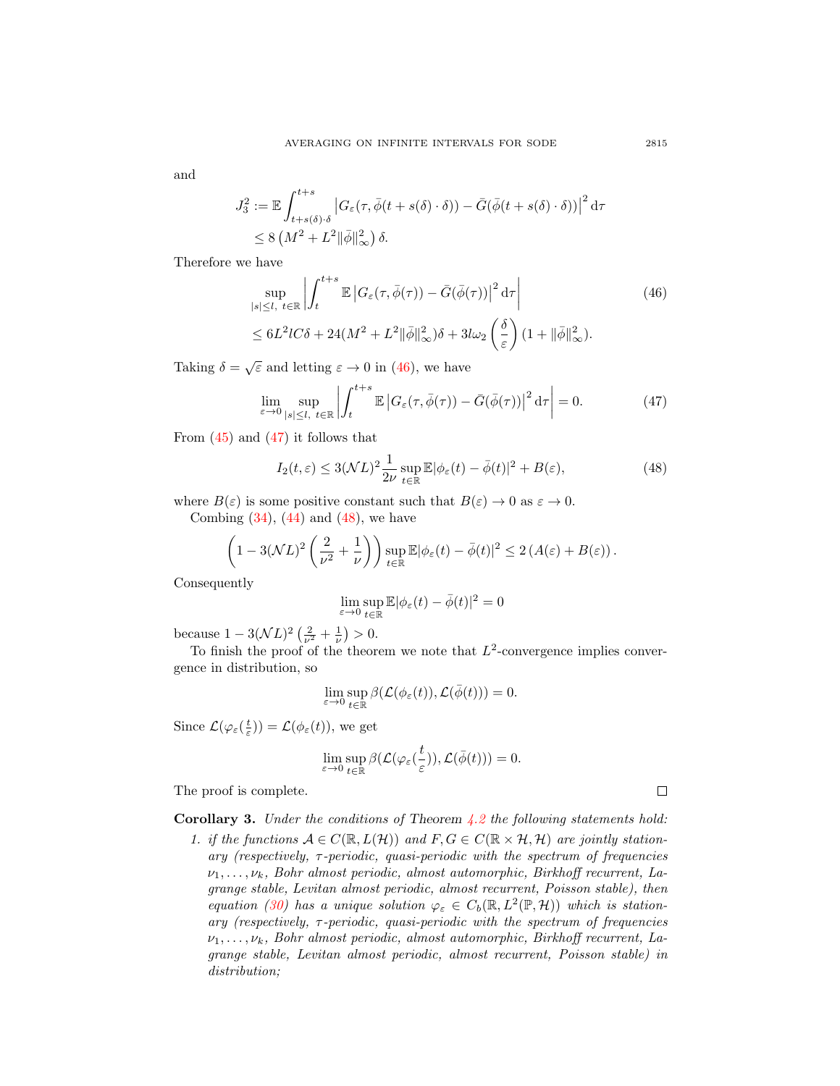and

$$
J_3^2 := \mathbb{E} \int_{t+s(\delta)\cdot\delta}^{t+s} \left| G_{\varepsilon}(\tau, \bar{\phi}(t+s(\delta)\cdot\delta)) - \bar{G}(\bar{\phi}(t+s(\delta)\cdot\delta)) \right|^2 d\tau
$$
  
\$\leq 8\left(M^2 + L^2 \|\bar{\phi}\|\_{\infty}^2\right)\delta\$.

Therefore we have

$$
\sup_{|s| \le l, t \in \mathbb{R}} \left| \int_{t}^{t+s} \mathbb{E} \left| G_{\varepsilon}(\tau, \bar{\phi}(\tau)) - \bar{G}(\bar{\phi}(\tau)) \right|^{2} d\tau \right|
$$
\n
$$
\le 6L^{2} l C \delta + 24(M^{2} + L^{2} \|\bar{\phi}\|_{\infty}^{2}) \delta + 3l\omega_{2} \left( \frac{\delta}{\varepsilon} \right) (1 + \|\bar{\phi}\|_{\infty}^{2}).
$$
\n(46)

Taking  $\delta = \sqrt{\varepsilon}$  and letting  $\varepsilon \to 0$  in [\(46\)](#page-23-0), we have

<span id="page-24-0"></span>
$$
\lim_{\varepsilon \to 0} \sup_{|s| \le l, \ t \in \mathbb{R}} \left| \int_{t}^{t+s} \mathbb{E} \left| G_{\varepsilon}(\tau, \bar{\phi}(\tau)) - \bar{G}(\bar{\phi}(\tau)) \right|^{2} d\tau \right| = 0. \tag{47}
$$

From  $(45)$  and  $(47)$  it follows that

<span id="page-24-1"></span>
$$
I_2(t,\varepsilon) \le 3(\mathcal{N}L)^2 \frac{1}{2\nu} \sup_{t \in \mathbb{R}} \mathbb{E}|\phi_{\varepsilon}(t) - \bar{\phi}(t)|^2 + B(\varepsilon), \tag{48}
$$

where  $B(\varepsilon)$  is some positive constant such that  $B(\varepsilon) \to 0$  as  $\varepsilon \to 0$ . Combing  $(34)$ ,  $(44)$  and  $(48)$ , we have

$$
\left(1 - 3(\mathcal{N}L)^2 \left(\frac{2}{\nu^2} + \frac{1}{\nu}\right)\right) \sup_{t \in \mathbb{R}} \mathbb{E}|\phi_{\varepsilon}(t) - \bar{\phi}(t)|^2 \le 2\left(A(\varepsilon) + B(\varepsilon)\right).
$$

Consequently

$$
\lim_{\varepsilon\to 0}\sup_{t\in\mathbb{R}}\mathbb{E}|\phi_\varepsilon(t)-\bar{\phi}(t)|^2=0
$$

because  $1 - 3(\mathcal{N}L)^2 \left( \frac{2}{\nu^2} + \frac{1}{\nu} \right) > 0.$ 

To finish the proof of the theorem we note that  $L^2$ -convergence implies convergence in distribution, so

$$
\lim_{\varepsilon \to 0} \sup_{t \in \mathbb{R}} \beta(\mathcal{L}(\phi_{\varepsilon}(t)), \mathcal{L}(\bar{\phi}(t))) = 0.
$$

Since  $\mathcal{L}(\varphi_{\varepsilon}(\frac{t}{\varepsilon})) = \mathcal{L}(\phi_{\varepsilon}(t)),$  we get

$$
\lim_{\varepsilon\to 0}\sup_{t\in\mathbb{R}}\beta(\mathcal{L}(\varphi_\varepsilon(\frac{t}{\varepsilon})),\mathcal{L}(\bar\phi(t)))=0.
$$

The proof is complete.

**Corollary 3.** Under the conditions of Theorem  $4.2$  the following statements hold:

1. if the functions  $A \in C(\mathbb{R}, L(\mathcal{H}))$  and  $F, G \in C(\mathbb{R} \times \mathcal{H}, \mathcal{H})$  are jointly station $ary$  (respectively,  $\tau$ -periodic, quasi-periodic with the spectrum of frequencies  $\nu_1, \ldots, \nu_k$ , Bohr almost periodic, almost automorphic, Birkhoff recurrent, Lagrange stable, Levitan almost periodic, almost recurrent, Poisson stable), then equation [\(30\)](#page-15-0) has a unique solution  $\varphi_{\varepsilon} \in C_b(\mathbb{R}, L^2(\mathbb{P}, \mathcal{H}))$  which is stationary (respectively,  $\tau$ -periodic, quasi-periodic with the spectrum of frequencies  $\nu_1, \ldots, \nu_k$ , Bohr almost periodic, almost automorphic, Birkhoff recurrent, Lagrange stable, Levitan almost periodic, almost recurrent, Poisson stable) in distribution;

 $\Box$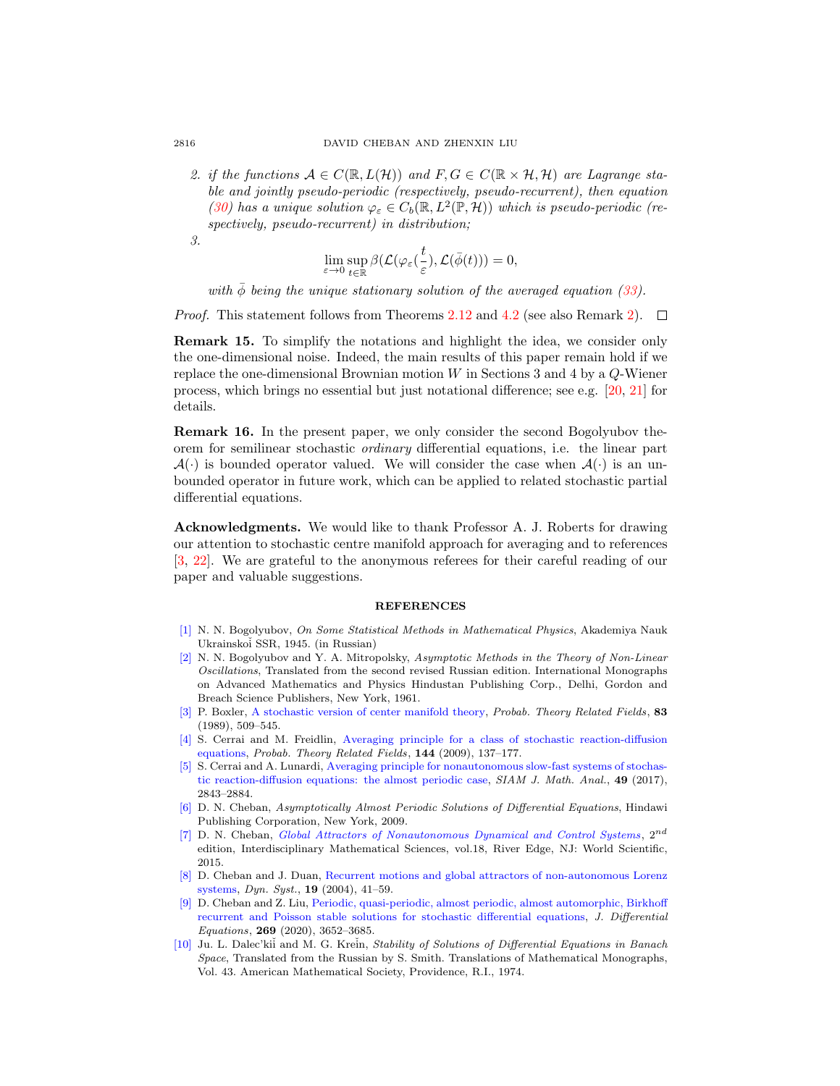2. if the functions  $A \in C(\mathbb{R}, L(\mathcal{H}))$  and  $F, G \in C(\mathbb{R} \times \mathcal{H}, \mathcal{H})$  are Lagrange stable and jointly pseudo-periodic (respectively, pseudo-recurrent), then equation [\(30\)](#page-15-0) has a unique solution  $\varphi_{\varepsilon} \in C_b(\mathbb{R}, L^2(\mathbb{P}, \mathcal{H}))$  which is pseudo-periodic (respectively, pseudo-recurrent) in distribution;

3.

$$
\lim_{\varepsilon\to 0}\sup_{t\in\mathbb{R}}\beta(\mathcal{L}(\varphi_\varepsilon(\frac{t}{\varepsilon}),\mathcal{L}(\bar\phi(t)))=0,
$$

with  $\phi$  being the unique stationary solution of the averaged equation [\(33\)](#page-16-2).

Proof. This statement follows from Theorems [2.12](#page-5-4) and [4.2](#page-17-0) (see also Remark [2\)](#page-3-0).  $\Box$ 

Remark 15. To simplify the notations and highlight the idea, we consider only the one-dimensional noise. Indeed, the main results of this paper remain hold if we replace the one-dimensional Brownian motion  $W$  in Sections 3 and 4 by a  $Q$ -Wiener process, which brings no essential but just notational difference; see e.g. [\[20,](#page-26-10) [21\]](#page-26-21) for details.

Remark 16. In the present paper, we only consider the second Bogolyubov theorem for semilinear stochastic ordinary differential equations, i.e. the linear part  $\mathcal{A}(\cdot)$  is bounded operator valued. We will consider the case when  $\mathcal{A}(\cdot)$  is an unbounded operator in future work, which can be applied to related stochastic partial differential equations.

Acknowledgments. We would like to thank Professor A. J. Roberts for drawing our attention to stochastic centre manifold approach for averaging and to references [\[3,](#page-25-4) [22\]](#page-26-8). We are grateful to the anonymous referees for their careful reading of our paper and valuable suggestions.

#### **REFERENCES**

- <span id="page-25-0"></span>[\[1\]](http://www.ams.org/mathscinet-getitem?mr=MR0016575&return=pdf) N. N. Bogolyubov, On Some Statistical Methods in Mathematical Physics, Akademiya Nauk Ukrainskoi SSR, 1945. (in Russian)
- <span id="page-25-1"></span>[\[2\]](http://www.ams.org/mathscinet-getitem?mr=MR0141845&return=pdf) N. N. Bogolyubov and Y. A. Mitropolsky, Asymptotic Methods in the Theory of Non-Linear Oscillations, Translated from the second revised Russian edition. International Monographs on Advanced Mathematics and Physics Hindustan Publishing Corp., Delhi, Gordon and Breach Science Publishers, New York, 1961.
- <span id="page-25-4"></span>[\[3\]](http://www.ams.org/mathscinet-getitem?mr=MR1022628&return=pdf) P. Boxler, [A stochastic version of center manifold theory,](http://dx.doi.org/10.1007/BF01845701) Probab. Theory Related Fields, 83 (1989), 509–545.
- <span id="page-25-2"></span>[\[4\]](http://www.ams.org/mathscinet-getitem?mr=MR2480788&return=pdf) S. Cerrai and M. Freidlin, [Averaging principle for a class of stochastic reaction-diffusion](http://dx.doi.org/10.1007/s00440-008-0144-z) [equations,](http://dx.doi.org/10.1007/s00440-008-0144-z) Probab. Theory Related Fields, 144 (2009), 137–177.
- <span id="page-25-3"></span>[\[5\]](http://www.ams.org/mathscinet-getitem?mr=MR3679916&return=pdf) S. Cerrai and A. Lunardi, [Averaging principle for nonautonomous slow-fast systems of stochas](http://dx.doi.org/10.1137/16M1063307)[tic reaction-diffusion equations: the almost periodic case,](http://dx.doi.org/10.1137/16M1063307) SIAM J. Math. Anal., 49 (2017), 2843–2884.
- <span id="page-25-8"></span>[\[6\]](http://www.ams.org/mathscinet-getitem?mr=MR2603600&return=pdf) D. N. Cheban, Asymptotically Almost Periodic Solutions of Differential Equations, Hindawi Publishing Corporation, New York, 2009.
- <span id="page-25-6"></span>[\[7\]](http://www.ams.org/mathscinet-getitem?mr=MR3329680&return=pdf) D. N. Cheban, [Global Attractors of Nonautonomous Dynamical and Control Systems](http://dx.doi.org/10.1142/9297) , 2nd edition, Interdisciplinary Mathematical Sciences, vol.18, River Edge, NJ: World Scientific, 2015.
- <span id="page-25-9"></span>[\[8\]](http://www.ams.org/mathscinet-getitem?mr=MR2038271&return=pdf) D. Cheban and J. Duan, [Recurrent motions and global attractors of non-autonomous Lorenz](http://dx.doi.org/10.1080/14689360310001624132) [systems,](http://dx.doi.org/10.1080/14689360310001624132) Dyn. Syst., 19 (2004), 41–59.
- <span id="page-25-5"></span>[\[9\]](http://www.ams.org/mathscinet-getitem?mr=MR4097264&return=pdf) D. Cheban and Z. Liu, [Periodic, quasi-periodic, almost periodic, almost automorphic, Birkhoff](http://dx.doi.org/10.1016/j.jde.2020.03.014) [recurrent and Poisson stable solutions for stochastic differential equations,](http://dx.doi.org/10.1016/j.jde.2020.03.014) J. Differential Equations, 269 (2020), 3652–3685.
- <span id="page-25-7"></span>[\[10\]](http://www.ams.org/mathscinet-getitem?mr=MR0352639&return=pdf) Ju. L. Dalec'kii and M. G. Krein, Stability of Solutions of Differential Equations in Banach Space, Translated from the Russian by S. Smith. Translations of Mathematical Monographs, Vol. 43. American Mathematical Society, Providence, R.I., 1974.